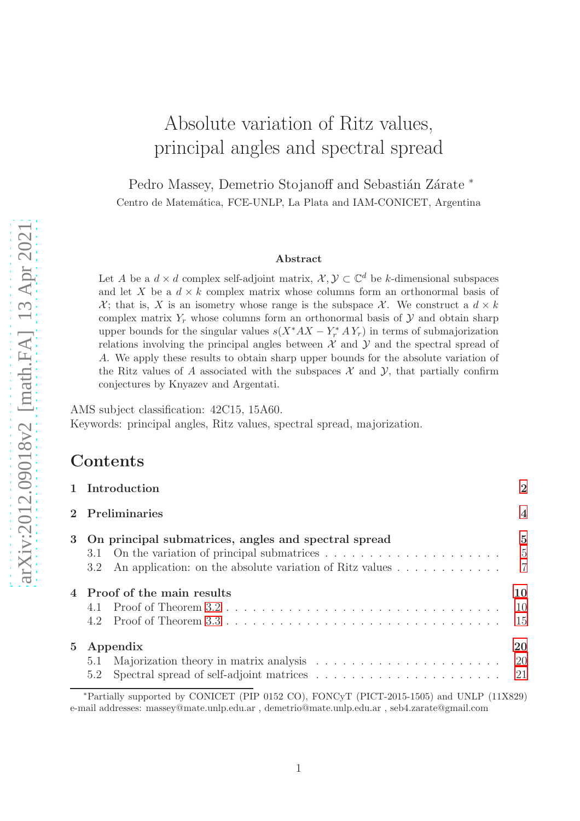# Absolute variation of Ritz values, principal angles and spectral spread

Pedro Massey, Demetrio Stojanoff and Sebastián Zárate \* Centro de Matemática, FCE-UNLP, La Plata and IAM-CONICET, Argentina

#### Abstract

Let A be a  $d \times d$  complex self-adjoint matrix,  $\mathcal{X}, \mathcal{Y} \subset \mathbb{C}^d$  be k-dimensional subspaces and let X be a  $d \times k$  complex matrix whose columns form an orthonormal basis of  $\mathcal{X}$ ; that is, X is an isometry whose range is the subspace  $\mathcal{X}$ . We construct a  $d \times k$ complex matrix  $Y_r$  whose columns form an orthonormal basis of  $\mathcal Y$  and obtain sharp upper bounds for the singular values  $s(X^*AX - Y^*X,Y_r)$  in terms of submajorization relations involving the principal angles between  $\mathcal X$  and  $\mathcal Y$  and the spectral spread of A. We apply these results to obtain sharp upper bounds for the absolute variation of the Ritz values of A associated with the subspaces  $\mathcal X$  and  $\mathcal Y$ , that partially confirm conjectures by Knyazev and Argentati.

AMS subject classification: 42C15, 15A60. Keywords: principal angles, Ritz values, spectral spread, majorization.

### Contents

|             | 1 Introduction                                                                                                                                                                                                                 | $\overline{2}$                                     |
|-------------|--------------------------------------------------------------------------------------------------------------------------------------------------------------------------------------------------------------------------------|----------------------------------------------------|
|             | Preliminaries                                                                                                                                                                                                                  | $\overline{4}$                                     |
| 3           | On principal submatrices, angles and spectral spread<br>3.1 On the variation of principal submatrices $\dots \dots \dots \dots \dots \dots \dots$<br>An application: on the absolute variation of Ritz values<br>$3.2^{\circ}$ | $\overline{5}$<br>$\overline{5}$<br>$\overline{7}$ |
|             | 4 Proof of the main results<br>4.1<br>4.2                                                                                                                                                                                      | 10<br><sup>10</sup><br>15                          |
| $5^{\circ}$ | Appendix<br>5.2                                                                                                                                                                                                                | 20                                                 |
|             | *Partially supported by CONICET (PIP 0152 CO), FONCyT (PICT-2015-1505) and UNLP (11X829)                                                                                                                                       |                                                    |

e-mail addresses: massey@mate.unlp.edu.ar , demetrio@mate.unlp.edu.ar , seb4.zarate@gmail.com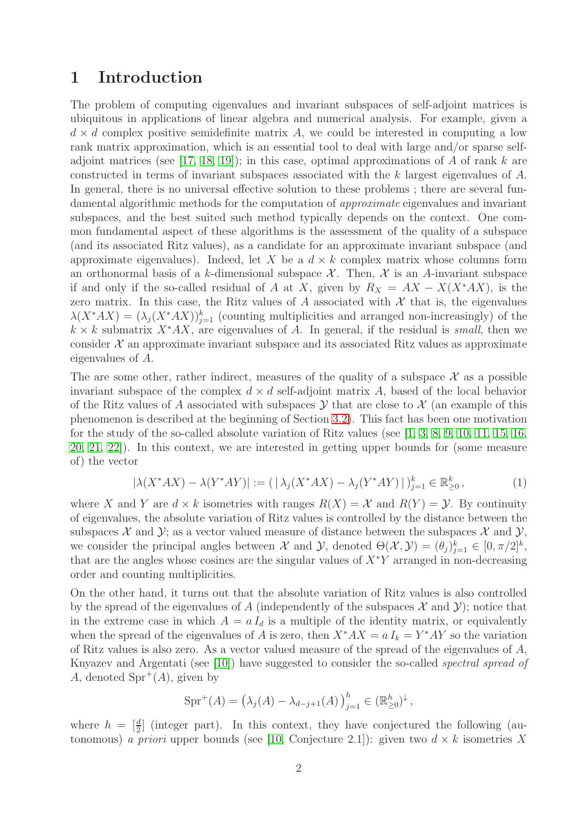### <span id="page-1-0"></span>1 Introduction

The problem of computing eigenvalues and invariant subspaces of self-adjoint matrices is ubiquitous in applications of linear algebra and numerical analysis. For example, given a  $d \times d$  complex positive semidefinite matrix A, we could be interested in computing a low rank matrix approximation, which is an essential tool to deal with large and/or sparse self-adjoint matrices (see [\[17,](#page-21-0) [18,](#page-21-1) [19\]](#page-21-2)); in this case, optimal approximations of A of rank k are constructed in terms of invariant subspaces associated with the k largest eigenvalues of A. In general, there is no universal effective solution to these problems; there are several fundamental algorithmic methods for the computation of *approximate* eigenvalues and invariant subspaces, and the best suited such method typically depends on the context. One common fundamental aspect of these algorithms is the assessment of the quality of a subspace (and its associated Ritz values), as a candidate for an approximate invariant subspace (and approximate eigenvalues). Indeed, let X be a  $d \times k$  complex matrix whose columns form an orthonormal basis of a k-dimensional subspace  $\mathcal{X}$ . Then,  $\mathcal{X}$  is an A-invariant subspace if and only if the so-called residual of A at X, given by  $R_X = AX - X(X^*AX)$ , is the zero matrix. In this case, the Ritz values of A associated with  $\mathcal X$  that is, the eigenvalues  $\lambda(X^*AX) = (\lambda_j(X^*AX))_{j=1}^k$  (counting multiplicities and arranged non-increasingly) of the  $k \times k$  submatrix  $X^*AX$ , are eigenvalues of A. In general, if the residual is *small*, then we consider  $\mathcal X$  an approximate invariant subspace and its associated Ritz values as approximate eigenvalues of A.

The are some other, rather indirect, measures of the quality of a subspace  $\mathcal X$  as a possible invariant subspace of the complex  $d \times d$  self-adjoint matrix A, based of the local behavior of the Ritz values of A associated with subspaces  $\mathcal Y$  that are close to  $\mathcal X$  (an example of this phenomenon is described at the beginning of Section [3.2\)](#page-6-0). This fact has been one motivation for the study of the so-called absolute variation of Ritz values (see [\[1,](#page-21-3) [3,](#page-21-4) [8,](#page-21-5) [9,](#page-21-6) [10,](#page-21-7) [11,](#page-21-8) [15,](#page-21-9) [16,](#page-21-10) [20,](#page-22-0) [21,](#page-22-1) [22\]](#page-22-2)). In this context, we are interested in getting upper bounds for (some measure of) the vector

<span id="page-1-1"></span>
$$
|\lambda(X^*AX) - \lambda(Y^*AY)| := (|\lambda_j(X^*AX) - \lambda_j(Y^*AY)|)_{j=1}^k \in \mathbb{R}_{\geq 0}^k,
$$
 (1)

where X and Y are  $d \times k$  isometries with ranges  $R(X) = \mathcal{X}$  and  $R(Y) = \mathcal{Y}$ . By continuity of eigenvalues, the absolute variation of Ritz values is controlled by the distance between the subspaces  $\mathcal X$  and  $\mathcal Y$ ; as a vector valued measure of distance between the subspaces  $\mathcal X$  and  $\mathcal Y$ , we consider the principal angles between  $\mathcal X$  and  $\mathcal Y$ , denoted  $\Theta(\mathcal X, \mathcal Y) = (\theta_j)_{j=1}^k \in [0, \pi/2]^k$ , that are the angles whose cosines are the singular values of  $X^*Y$  arranged in non-decreasing order and counting multiplicities.

On the other hand, it turns out that the absolute variation of Ritz values is also controlled by the spread of the eigenvalues of A (independently of the subspaces  $\mathcal X$  and  $\mathcal Y$ ); notice that in the extreme case in which  $A = a I_d$  is a multiple of the identity matrix, or equivalently when the spread of the eigenvalues of A is zero, then  $X^*AX = a I_k = Y^*AY$  so the variation of Ritz values is also zero. As a vector valued measure of the spread of the eigenvalues of  $A$ , Knyazev and Argentati (see [\[10\]](#page-21-7)) have suggested to consider the so-called *spectral spread of* A, denoted  $Spr^+(A)$ , given by

$$
Spr^{+}(A) = (\lambda_{j}(A) - \lambda_{d-j+1}(A))_{j=1}^{h} \in (\mathbb{R}_{\geq 0}^{h})^{\downarrow},
$$

where  $h = \left[\frac{d}{2}\right]$  (integer part). In this context, they have conjectured the following (autonomous) *a priori* upper bounds (see [\[10,](#page-21-7) Conjecture 2.1]): given two  $d \times k$  isometries X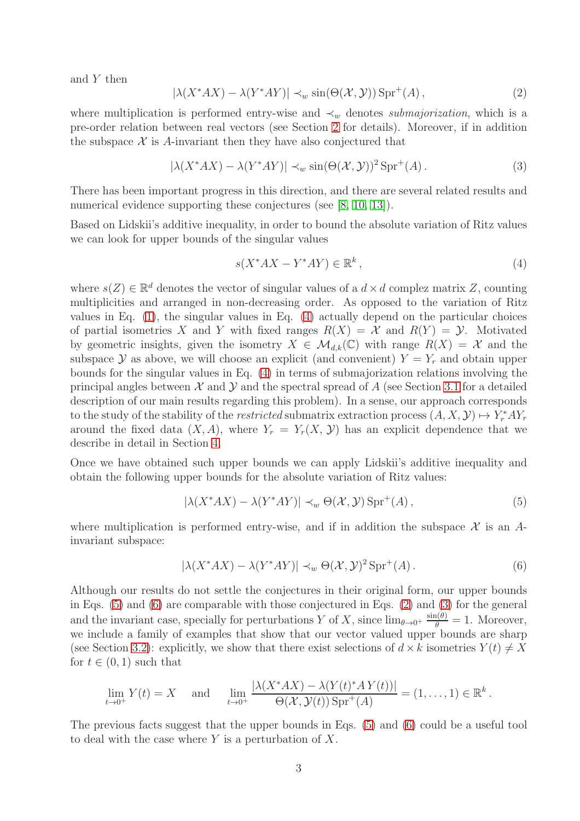and Y then

<span id="page-2-3"></span>
$$
|\lambda(X^*AX) - \lambda(Y^*AY)| \prec_w \sin(\Theta(\mathcal{X}, \mathcal{Y})) \operatorname{Spr}^+(A), \tag{2}
$$

where multiplication is performed entry-wise and  $\prec_w$  denotes *submajorization*, which is a pre-order relation between real vectors (see Section [2](#page-3-0) for details). Moreover, if in addition the subspace  $\mathcal X$  is A-invariant then they have also conjectured that

<span id="page-2-4"></span>
$$
|\lambda(X^*AX) - \lambda(Y^*AY)| \prec_w \sin(\Theta(\mathcal{X}, \mathcal{Y}))^2 \operatorname{Spr}^+(A). \tag{3}
$$

There has been important progress in this direction, and there are several related results and numerical evidence supporting these conjectures (see [\[8,](#page-21-5) [10,](#page-21-7) [13\]](#page-21-11)).

Based on Lidskii's additive inequality, in order to bound the absolute variation of Ritz values we can look for upper bounds of the singular values

<span id="page-2-0"></span>
$$
s(X^*AX - Y^*AY) \in \mathbb{R}^k,
$$
\n<sup>(4)</sup>

where  $s(Z) \in \mathbb{R}^d$  denotes the vector of singular values of a  $d \times d$  complez matrix Z, counting multiplicities and arranged in non-decreasing order. As opposed to the variation of Ritz values in Eq. [\(1\)](#page-1-1), the singular values in Eq. [\(4\)](#page-2-0) actually depend on the particular choices of partial isometries X and Y with fixed ranges  $R(X) = X$  and  $R(Y) = Y$ . Motivated by geometric insights, given the isometry  $X \in \mathcal{M}_{d,k}(\mathbb{C})$  with range  $R(X) = \mathcal{X}$  and the subspace Y as above, we will choose an explicit (and convenient)  $Y = Y_r$  and obtain upper bounds for the singular values in Eq. [\(4\)](#page-2-0) in terms of submajorization relations involving the principal angles between  $\mathcal X$  and  $\mathcal Y$  and the spectral spread of A (see Section [3.1](#page-4-1) for a detailed description of our main results regarding this problem). In a sense, our approach corresponds to the study of the stability of the *restricted* submatrix extraction process  $(A, X, Y) \mapsto Y_r^* A Y_r$ around the fixed data  $(X, A)$ , where  $Y_r = Y_r(X, Y)$  has an explicit dependence that we describe in detail in Section [4.](#page-9-0)

Once we have obtained such upper bounds we can apply Lidskii's additive inequality and obtain the following upper bounds for the absolute variation of Ritz values:

<span id="page-2-1"></span>
$$
|\lambda(X^*AX) - \lambda(Y^*AY)| \prec_w \Theta(\mathcal{X}, \mathcal{Y}) \text{Spr}^+(A), \qquad (5)
$$

where multiplication is performed entry-wise, and if in addition the subspace  $\mathcal X$  is an Ainvariant subspace:

<span id="page-2-2"></span>
$$
|\lambda(X^*AX) - \lambda(Y^*AY)| \prec_w \Theta(\mathcal{X}, \mathcal{Y})^2 \operatorname{Spr}^+(A).
$$
 (6)

Although our results do not settle the conjectures in their original form, our upper bounds in Eqs. [\(5\)](#page-2-1) and [\(6\)](#page-2-2) are comparable with those conjectured in Eqs. [\(2\)](#page-2-3) and [\(3\)](#page-2-4) for the general and the invariant case, specially for perturbations Y of X, since  $\lim_{\theta\to 0^+} \frac{\sin(\theta)}{\theta} = 1$ . Moreover, we include a family of examples that show that our vector valued upper bounds are sharp (see Section [3.2\)](#page-6-0): explicitly, we show that there exist selections of  $d \times k$  isometries  $Y(t) \neq X$ for  $t \in (0,1)$  such that

$$
\lim_{t\to 0^+} Y(t) = X \quad \text{and} \quad \lim_{t\to 0^+} \frac{|\lambda(X^*AX) - \lambda(Y(t)^*AY(t))|}{\Theta(\mathcal{X}, \mathcal{Y}(t))\operatorname{Spr}^+(A)} = (1, \dots, 1) \in \mathbb{R}^k.
$$

The previous facts suggest that the upper bounds in Eqs. [\(5\)](#page-2-1) and [\(6\)](#page-2-2) could be a useful tool to deal with the case where  $Y$  is a perturbation of  $X$ .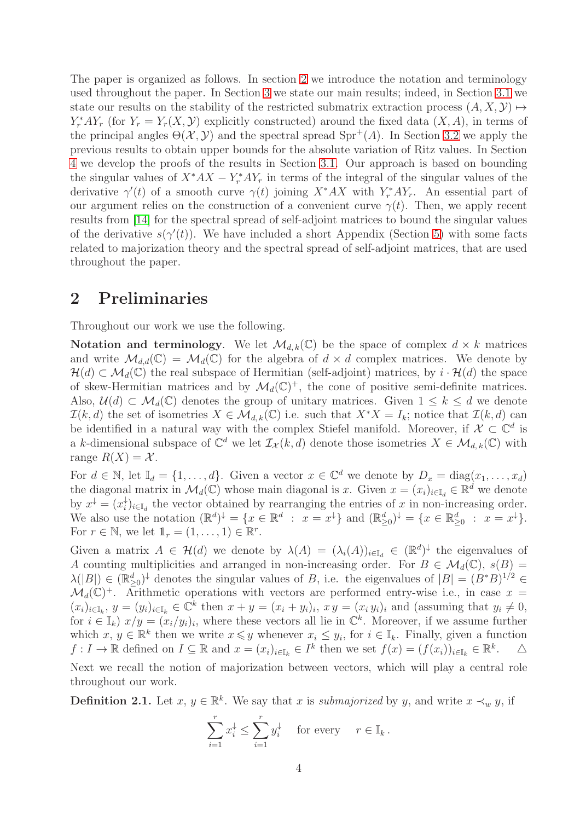The paper is organized as follows. In section [2](#page-3-0) we introduce the notation and terminology used throughout the paper. In Section [3](#page-4-0) we state our main results; indeed, in Section [3.1](#page-4-1) we state our results on the stability of the restricted submatrix extraction process  $(A, X, Y) \mapsto$  $Y_r^* A Y_r$  (for  $Y_r = Y_r(X, Y)$ ) explicitly constructed) around the fixed data  $(X, A)$ , in terms of the principal angles  $\Theta(\mathcal{X}, \mathcal{Y})$  and the spectral spread  $\text{Spr}^+(A)$ . In Section [3.2](#page-6-0) we apply the previous results to obtain upper bounds for the absolute variation of Ritz values. In Section [4](#page-9-0) we develop the proofs of the results in Section [3.1.](#page-4-1) Our approach is based on bounding the singular values of  $X^*AX - Y^*$ ,  $AY_r$  in terms of the integral of the singular values of the derivative  $\gamma'(t)$  of a smooth curve  $\gamma(t)$  joining  $X^*AX$  with  $Y_r^*AY_r$ . An essential part of our argument relies on the construction of a convenient curve  $\gamma(t)$ . Then, we apply recent results from [\[14\]](#page-21-12) for the spectral spread of self-adjoint matrices to bound the singular values of the derivative  $s(\gamma'(t))$ . We have included a short Appendix (Section [5\)](#page-19-0) with some facts related to majorization theory and the spectral spread of self-adjoint matrices, that are used throughout the paper.

## <span id="page-3-0"></span>2 Preliminaries

throughout our work.

Throughout our work we use the following.

Notation and terminology. We let  $\mathcal{M}_{d,k}(\mathbb{C})$  be the space of complex  $d \times k$  matrices and write  $\mathcal{M}_{d,d}(\mathbb{C}) = \mathcal{M}_d(\mathbb{C})$  for the algebra of  $d \times d$  complex matrices. We denote by  $\mathcal{H}(d) \subset \mathcal{M}_d(\mathbb{C})$  the real subspace of Hermitian (self-adjoint) matrices, by  $i \cdot \mathcal{H}(d)$  the space of skew-Hermitian matrices and by  $\mathcal{M}_d(\mathbb{C})^+$ , the cone of positive semi-definite matrices. Also,  $\mathcal{U}(d) \subset \mathcal{M}_d(\mathbb{C})$  denotes the group of unitary matrices. Given  $1 \leq k \leq d$  we denote  $\mathcal{I}(k, d)$  the set of isometries  $X \in \mathcal{M}_{d,k}(\mathbb{C})$  i.e. such that  $X^*X = I_k$ ; notice that  $\mathcal{I}(k, d)$  can be identified in a natural way with the complex Stiefel manifold. Moreover, if  $\mathcal{X} \subset \mathbb{C}^d$  is a k-dimensional subspace of  $\mathbb{C}^d$  we let  $\mathcal{I}_{\mathcal{X}}(k, d)$  denote those isometries  $X \in \mathcal{M}_{d,k}(\mathbb{C})$  with range  $R(X) = X$ .

For  $d \in \mathbb{N}$ , let  $\mathbb{I}_d = \{1, \ldots, d\}$ . Given a vector  $x \in \mathbb{C}^d$  we denote by  $D_x = \text{diag}(x_1, \ldots, x_d)$ the diagonal matrix in  $\mathcal{M}_d(\mathbb{C})$  whose main diagonal is x. Given  $x = (x_i)_{i \in \mathbb{I}_d} \in \mathbb{R}^d$  we denote by  $x^{\downarrow} = (x_i^{\downarrow})$  $i<sub>i</sub>$ <sub>i</sub>)<sub>i∈I<sub>d</sub> the vector obtained by rearranging the entries of x in non-increasing order.</sub> We also use the notation  $(\mathbb{R}^d)^{\downarrow} = \{x \in \mathbb{R}^d : x = x^{\downarrow}\}\$  and  $(\mathbb{R}_{\geq 0}^d)^{\downarrow} = \{x \in \mathbb{R}_{\geq 0}^d : x = x^{\downarrow}\}.$ For  $r \in \mathbb{N}$ , we let  $\mathbb{1}_r = (1, \ldots, 1) \in \mathbb{R}^r$ .

Given a matrix  $A \in \mathcal{H}(d)$  we denote by  $\lambda(A) = (\lambda_i(A))_{i \in \mathbb{I}_d} \in (\mathbb{R}^d)^{\downarrow}$  the eigenvalues of A counting multiplicities and arranged in non-increasing order. For  $B \in \mathcal{M}_d(\mathbb{C})$ ,  $s(B) =$  $\lambda(|B|) \in (\mathbb{R}_{\geq 0}^d)^{\downarrow}$  denotes the singular values of B, i.e. the eigenvalues of  $|B| = (B^*B)^{1/2} \in$  $\mathcal{M}_d(\mathbb{C})^+$ . Arithmetic operations with vectors are performed entry-wise i.e., in case  $x =$  $(x_i)_{i\in\mathbb{I}_k}, y=(y_i)_{i\in\mathbb{I}_k}\in\mathbb{C}^k$  then  $x+y=(x_i+y_i)_i, x y=(x_i y_i)_i$  and (assuming that  $y_i\neq 0$ , for  $i \in \mathbb{I}_k$   $x/y = (x_i/y_i)_i$ , where these vectors all lie in  $\mathbb{C}^k$ . Moreover, if we assume further which  $x, y \in \mathbb{R}^k$  then we write  $x \leq y$  whenever  $x_i \leq y_i$ , for  $i \in \mathbb{I}_k$ . Finally, given a function  $f: I \to \mathbb{R}$  defined on  $I \subseteq \mathbb{R}$  and  $x = (x_i)_{i \in \mathbb{I}_k} \in I^k$  then we set  $f(x) = (f(x_i))_{i \in \mathbb{I}_k} \in \mathbb{R}^k$  $\triangle$ Next we recall the notion of majorization between vectors, which will play a central role

**Definition 2.1.** Let  $x, y \in \mathbb{R}^k$ . We say that x is *submajorized* by y, and write  $x \prec_w y$ , if

$$
\sum_{i=1}^r x_i^{\downarrow} \le \sum_{i=1}^r y_i^{\downarrow} \quad \text{ for every } \quad r \in \mathbb{I}_k \, .
$$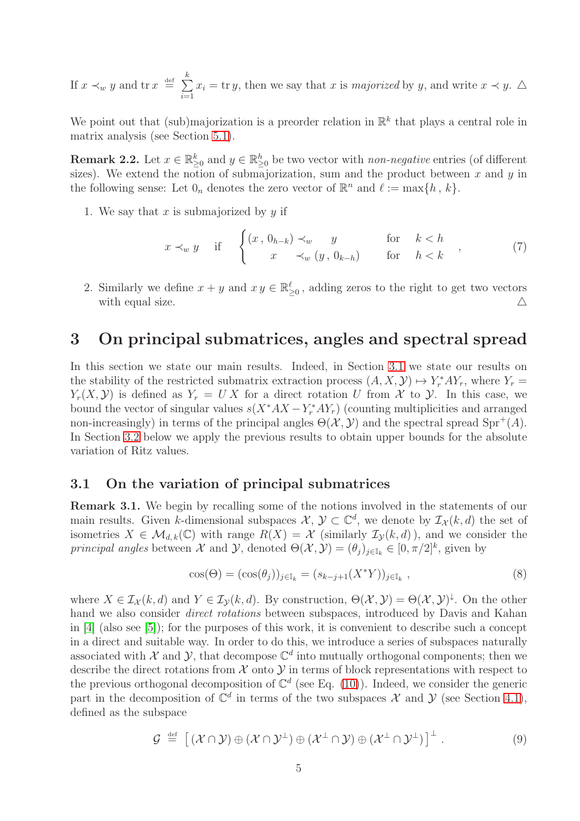If  $x \prec_w y$  and  $\operatorname{tr} x \stackrel{\text{def}}{=} \sum$ k  $i=1$  $x_i = \text{tr } y$ , then we say that x is *majorized* by y, and write  $x \prec y$ .  $\triangle$ 

We point out that (sub)majorization is a preorder relation in  $\mathbb{R}^k$  that plays a central role in matrix analysis (see Section [5.1\)](#page-19-1).

<span id="page-4-2"></span>**Remark 2.2.** Let  $x \in \mathbb{R}_{\geq 0}^k$  and  $y \in \mathbb{R}_{\geq 0}^k$  be two vector with *non-negative* entries (of different sizes). We extend the notion of submajorization, sum and the product between  $x$  and  $y$  in the following sense: Let  $0_n$  denotes the zero vector of  $\mathbb{R}^n$  and  $\ell := \max\{h, k\}.$ 

1. We say that x is submajorized by  $y$  if

$$
x \prec_w y \quad \text{if} \quad\n\begin{cases}\n(x, 0_{h-k}) \prec_w y & \text{for} \quad k < h \\
x & \prec_w (y, 0_{k-h}) & \text{for} \quad h < k\n\end{cases},\n\tag{7}
$$

2. Similarly we define  $x + y$  and  $xy \in \mathbb{R}_{\geq 0}^{\ell}$ , adding zeros to the right to get two vectors with equal size.  $\triangle$ 

### <span id="page-4-0"></span>3 On principal submatrices, angles and spectral spread

In this section we state our main results. Indeed, in Section [3.1](#page-4-1) we state our results on the stability of the restricted submatrix extraction process  $(A, X, Y) \mapsto Y_r^* A Y_r$ , where  $Y_r =$  $Y_r(X, Y)$  is defined as  $Y_r = U X$  for a direct rotation U from X to Y. In this case, we bound the vector of singular values  $s(X^*AX - Y^*_rAY_r)$  (counting multiplicities and arranged non-increasingly) in terms of the principal angles  $\Theta(\mathcal{X}, \mathcal{Y})$  and the spectral spread Spr<sup>+</sup>(A). In Section [3.2](#page-6-0) below we apply the previous results to obtain upper bounds for the absolute variation of Ritz values.

#### <span id="page-4-1"></span>3.1 On the variation of principal submatrices

<span id="page-4-4"></span>Remark 3.1. We begin by recalling some of the notions involved in the statements of our main results. Given k-dimensional subspaces  $\mathcal{X}, \mathcal{Y} \subset \mathbb{C}^d$ , we denote by  $\mathcal{I}_{\mathcal{X}}(k, d)$  the set of isometries  $X \in \mathcal{M}_{d,k}(\mathbb{C})$  with range  $R(X) = \mathcal{X}$  (similarly  $\mathcal{I}_{\mathcal{Y}}(k,d)$ ), and we consider the *principal angles* between  $\mathcal X$  and  $\mathcal Y$ , denoted  $\Theta(\mathcal X, \mathcal Y) = (\theta_j)_{j \in \mathbb I_k} \in [0, \pi/2]^k$ , given by

<span id="page-4-3"></span>
$$
\cos(\Theta) = (\cos(\theta_j))_{j \in \mathbb{I}_k} = (s_{k-j+1}(X^*Y))_{j \in \mathbb{I}_k},
$$
\n(8)

where  $X \in \mathcal{I}_{\mathcal{X}}(k, d)$  and  $Y \in \mathcal{I}_{\mathcal{Y}}(k, d)$ . By construction,  $\Theta(\mathcal{X}, \mathcal{Y}) = \Theta(\mathcal{X}, \mathcal{Y})^{\downarrow}$ . On the other hand we also consider *direct rotations* between subspaces, introduced by Davis and Kahan in [\[4\]](#page-21-13) (also see [\[5\]](#page-21-14)); for the purposes of this work, it is convenient to describe such a concept in a direct and suitable way. In order to do this, we introduce a series of subspaces naturally associated with  $\mathcal X$  and  $\mathcal Y$ , that decompose  $\mathbb C^d$  into mutually orthogonal components; then we describe the direct rotations from  $\mathcal X$  onto  $\mathcal Y$  in terms of block representations with respect to the previous orthogonal decomposition of  $\mathbb{C}^d$  (see Eq. [\(10\)](#page-5-1)). Indeed, we consider the generic part in the decomposition of  $\mathbb{C}^d$  in terms of the two subspaces X and Y (see Section [4.1\)](#page-9-1), defined as the subspace

<span id="page-4-5"></span>
$$
\mathcal{G} \stackrel{\text{def}}{=} \left[ (\mathcal{X} \cap \mathcal{Y}) \oplus (\mathcal{X} \cap \mathcal{Y}^{\perp}) \oplus (\mathcal{X}^{\perp} \cap \mathcal{Y}) \oplus (\mathcal{X}^{\perp} \cap \mathcal{Y}^{\perp}) \right]^{\perp}.
$$
 (9)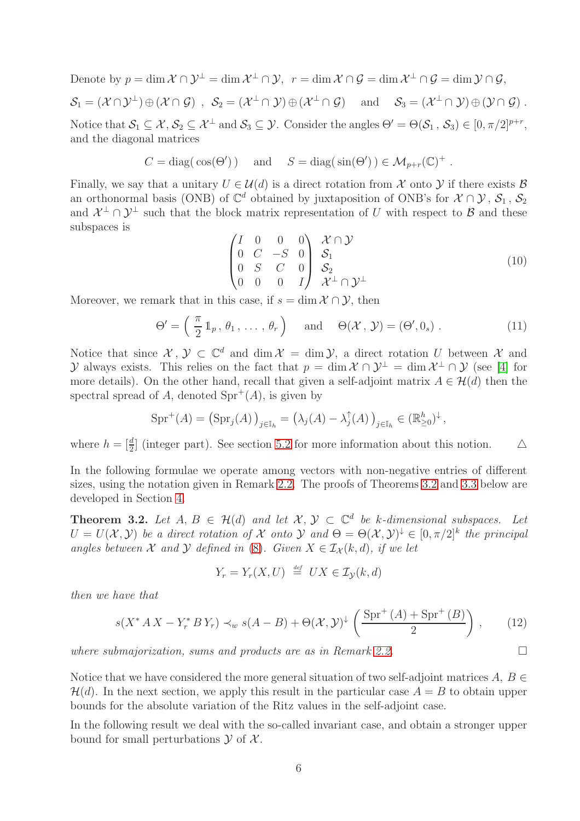Denote by  $p=\dim \mathcal{X}\cap \mathcal{Y}^\perp=\dim \mathcal{X}^\perp\cap \mathcal{Y},\ \ r=\dim \mathcal{X}\cap \mathcal{G}=\dim \mathcal{X}^\perp\cap \mathcal{G}=\dim \mathcal{Y}\cap \mathcal{G},$  $\mathcal{S}_1 = (\mathcal{X} \cap \mathcal{Y}^\perp) \oplus (\mathcal{X} \cap \mathcal{G}) \;\; , \;\; \mathcal{S}_2 = (\mathcal{X}^\perp \cap \mathcal{Y}) \oplus (\mathcal{X}^\perp \cap \mathcal{G}) \;\; \;\; \text{ and } \;\; \;\; \mathcal{S}_3 = (\mathcal{X}^\perp \cap \mathcal{Y}) \oplus (\mathcal{Y} \cap \mathcal{G}) \; .$ Notice that  $\mathcal{S}_1 \subseteq \mathcal{X}, \mathcal{S}_2 \subseteq \mathcal{X}^{\perp}$  and  $\mathcal{S}_3 \subseteq \mathcal{Y}$ . Consider the angles  $\Theta' = \Theta(\mathcal{S}_1, \mathcal{S}_3) \in [0, \pi/2]^{p+r}$ , and the diagonal matrices

$$
C = \text{diag}(\cos(\Theta')) \quad \text{and} \quad S = \text{diag}(\sin(\Theta')) \in \mathcal{M}_{p+r}(\mathbb{C})^+
$$

Finally, we say that a unitary  $U \in \mathcal{U}(d)$  is a direct rotation from X onto Y if there exists B an orthonormal basis (ONB) of  $\mathbb{C}^d$  obtained by juxtaposition of ONB's for  $\mathcal{X} \cap \mathcal{Y}$ ,  $\mathcal{S}_1$ ,  $\mathcal{S}_2$ and  $\mathcal{X}^{\perp} \cap \mathcal{Y}^{\perp}$  such that the block matrix representation of U with respect to B and these subspaces is

<span id="page-5-1"></span>
$$
\begin{pmatrix}\nI & 0 & 0 & 0 \\
0 & C & -S & 0 \\
0 & S & C & 0 \\
0 & 0 & 0 & I\n\end{pmatrix}\n\begin{pmatrix}\nX \cap Y \\
S_1 \\
S_2 \\
X^{\perp} \cap Y^{\perp}\n\end{pmatrix}
$$
\n(10)

.

Moreover, we remark that in this case, if  $s = \dim \mathcal{X} \cap \mathcal{Y}$ , then

$$
\Theta' = \left(\frac{\pi}{2} 1_p, \theta_1, \dots, \theta_r\right) \quad \text{and} \quad \Theta(\mathcal{X}, \mathcal{Y}) = (\Theta', 0_s) . \tag{11}
$$

Notice that since  $\mathcal{X}, \mathcal{Y} \subset \mathbb{C}^d$  and  $\dim \mathcal{X} = \dim \mathcal{Y}$ , a direct rotation U between X and y always exists. This relies on the fact that  $p = \dim \mathcal{X} \cap \mathcal{Y}^{\perp} = \dim \mathcal{X}^{\perp} \cap \mathcal{Y}$  (see [\[4\]](#page-21-13) for more details). On the other hand, recall that given a self-adjoint matrix  $A \in \mathcal{H}(d)$  then the spectral spread of A, denoted  $Spr^+(A)$ , is given by

$$
\text{Spr}^+(A) = \left(\text{Spr}_j(A)\right)_{j \in \mathbb{I}_h} = \left(\lambda_j(A) - \lambda_j^{\uparrow}(A)\right)_{j \in \mathbb{I}_h} \in (\mathbb{R}_{\geq 0}^h)^{\downarrow},
$$

where  $h = \left[\frac{d}{2}\right]$  (integer part). See section [5.2](#page-20-0) for more information about this notion.  $\Delta$ 

In the following formulae we operate among vectors with non-negative entries of different sizes, using the notation given in Remark [2.2.](#page-4-2) The proofs of Theorems [3.2](#page-5-0) and [3.3](#page-6-1) below are developed in Section [4.](#page-9-0)

<span id="page-5-0"></span>**Theorem 3.2.** Let  $A, B \in \mathcal{H}(d)$  and let  $\mathcal{X}, \mathcal{Y} \subset \mathbb{C}^d$  be k-dimensional subspaces. Let  $U = U(X, Y)$  be a direct rotation of X onto Y and  $\Theta = \Theta(X, Y)^{\downarrow} \in [0, \pi/2]^k$  the principal *angles between* X *and* Y *defined in* [\(8\)](#page-4-3). Given  $X \in I_{\mathcal{X}}(k,d)$ , if we let

$$
Y_r = Y_r(X, U) \stackrel{\text{def}}{=} UX \in \mathcal{I}_{\mathcal{Y}}(k, d)
$$

*then we have that*

$$
s(X^* A X - Y_r^* B Y_r) \prec_w s(A - B) + \Theta(\mathcal{X}, \mathcal{Y})^{\downarrow} \left( \frac{\text{Spr}^+(A) + \text{Spr}^+(B)}{2} \right), \qquad (12)
$$

*where submajorization, sums and products are as in Remark [2.2.](#page-4-2)*

Notice that we have considered the more general situation of two self-adjoint matrices  $A, B \in$  $\mathcal{H}(d)$ . In the next section, we apply this result in the particular case  $A = B$  to obtain upper bounds for the absolute variation of the Ritz values in the self-adjoint case.

In the following result we deal with the so-called invariant case, and obtain a stronger upper bound for small perturbations  $\mathcal Y$  of  $\mathcal X$ .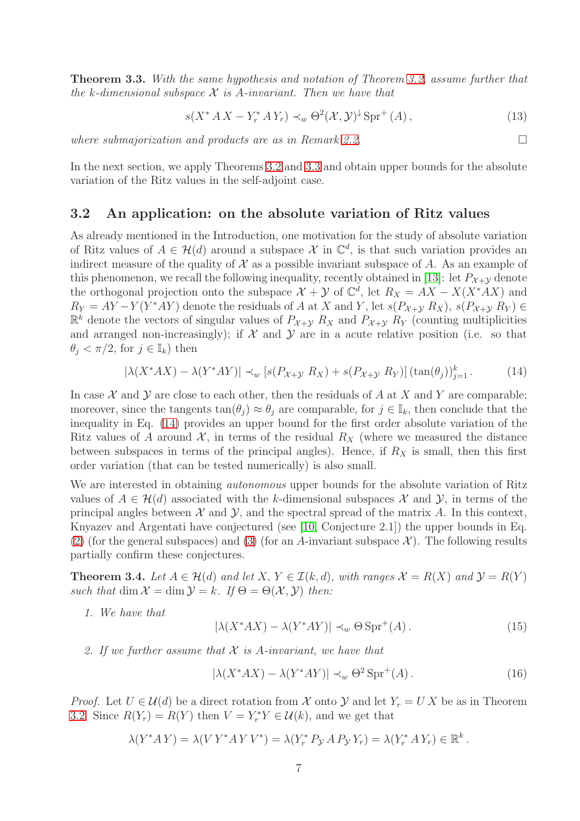<span id="page-6-1"></span>Theorem 3.3. *With the same hypothesis and notation of Theorem [3.2,](#page-5-0) assume further that the* k*-dimensional subspace* X *is* A*-invariant. Then we have that*

$$
s(X^* A X - Y^* A Y_r) \prec_w \Theta^2(\mathcal{X}, \mathcal{Y})^{\downarrow} \operatorname{Spr}^+(A) , \qquad (13)
$$

*where submajorization and products are as in Remark [2.2.](#page-4-2)*

In the next section, we apply Theorems [3.2](#page-5-0) and [3.3](#page-6-1) and obtain upper bounds for the absolute variation of the Ritz values in the self-adjoint case.

#### <span id="page-6-0"></span>3.2 An application: on the absolute variation of Ritz values

As already mentioned in the Introduction, one motivation for the study of absolute variation of Ritz values of  $A \in \mathcal{H}(d)$  around a subspace X in  $\mathbb{C}^d$ , is that such variation provides an indirect measure of the quality of  $\mathcal X$  as a possible invariant subspace of A. As an example of this phenomenon, we recall the following inequality, recently obtained in [\[13\]](#page-21-11): let  $P_{\mathcal{X}+\mathcal{Y}}$  denote the orthogonal projection onto the subspace  $\mathcal{X} + \mathcal{Y}$  of  $\mathbb{C}^d$ , let  $R_X = AX - X(X^*AX)$  and  $R_Y = AY - Y(Y^*AY)$  denote the residuals of A at X and Y, let  $s(P_{X+Y} R_X)$ ,  $s(P_{X+Y} R_Y) \in$  $\mathbb{R}^k$  denote the vectors of singular values of  $P_{\mathcal{X}+\mathcal{Y}}$   $R_X$  and  $P_{\mathcal{X}+\mathcal{Y}}$   $R_Y$  (counting multiplicities and arranged non-increasingly); if  $X$  and  $Y$  are in a acute relative position (i.e. so that  $\theta_j < \pi/2$ , for  $j \in \mathbb{I}_k$ ) then

<span id="page-6-2"></span>
$$
|\lambda(X^*AX) - \lambda(Y^*AY)| \prec_w [s(P_{\mathcal{X}+\mathcal{Y}} R_X) + s(P_{\mathcal{X}+\mathcal{Y}} R_Y)] (\tan(\theta_j))_{j=1}^k. \tag{14}
$$

In case  $\mathcal X$  and  $\mathcal Y$  are close to each other, then the residuals of A at X and Y are comparable; moreover, since the tangents  $tan(\theta_i) \approx \theta_i$  are comparable, for  $j \in \mathbb{I}_k$ , then conclude that the inequality in Eq. [\(14\)](#page-6-2) provides an upper bound for the first order absolute variation of the Ritz values of A around  $\mathcal{X}$ , in terms of the residual  $R_X$  (where we measured the distance between subspaces in terms of the principal angles). Hence, if  $R_X$  is small, then this first order variation (that can be tested numerically) is also small.

We are interested in obtaining *autonomous* upper bounds for the absolute variation of Ritz values of  $A \in \mathcal{H}(d)$  associated with the k-dimensional subspaces X and Y, in terms of the principal angles between  $\mathcal X$  and  $\mathcal Y$ , and the spectral spread of the matrix A. In this context, Knyazev and Argentati have conjectured (see [\[10,](#page-21-7) Conjecture 2.1]) the upper bounds in Eq. [\(2\)](#page-2-3) (for the general subspaces) and [\(3\)](#page-2-4) (for an A-invariant subspace  $\mathcal{X}$ ). The following results partially confirm these conjectures.

<span id="page-6-3"></span>**Theorem 3.4.** Let  $A \in \mathcal{H}(d)$  and let  $X, Y \in \mathcal{I}(k, d)$ , with ranges  $\mathcal{X} = R(X)$  and  $\mathcal{Y} = R(Y)$ *such that* dim  $\mathcal{X} = \dim \mathcal{Y} = k$ *. If*  $\Theta = \Theta(\mathcal{X}, \mathcal{Y})$  *then:* 

*1. We have that*

$$
|\lambda(X^*AX) - \lambda(Y^*AY)| \prec_w \Theta \text{Spr}^+(A). \tag{15}
$$

*2. If we further assume that* X *is* A*-invariant, we have that*

$$
|\lambda(X^*AX) - \lambda(Y^*AY)| \prec_w \Theta^2 \text{Spr}^+(A). \tag{16}
$$

*Proof.* Let  $U \in \mathcal{U}(d)$  be a direct rotation from X onto Y and let  $Y_r = U X$  be as in Theorem [3.2.](#page-5-0) Since  $R(Y_r) = R(Y)$  then  $V = Y_r^* Y \in \mathcal{U}(k)$ , and we get that

$$
\lambda(Y^* A Y) = \lambda(V Y^* A Y V^*) = \lambda(Y_r^* P_{\mathcal{Y}} A P_{\mathcal{Y}} Y_r) = \lambda(Y_r^* A Y_r) \in \mathbb{R}^k.
$$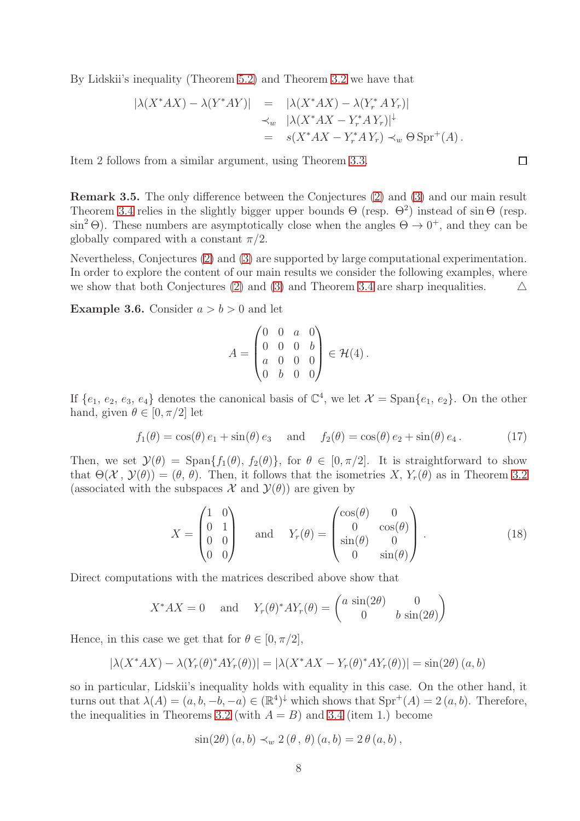By Lidskii's inequality (Theorem [5.2\)](#page-19-2) and Theorem [3.2](#page-5-0) we have that

$$
\begin{array}{rcl}\n|\lambda(X^*AX) - \lambda(Y^*AY)| & = & |\lambda(X^*AX) - \lambda(Y_r^*AY_r)| \\
& \prec_w & |\lambda(X^*AX - Y_r^*AY_r)|^{\downarrow} \\
& = & s(X^*AX - Y_r^*AY_r) \prec_w \Theta \operatorname{Spr}^+(A)\n\end{array}
$$

Item 2 follows from a similar argument, using Theorem [3.3.](#page-6-1)

Remark 3.5. The only difference between the Conjectures [\(2\)](#page-2-3) and [\(3\)](#page-2-4) and our main result Theorem [3.4](#page-6-3) relies in the slightly bigger upper bounds  $\Theta$  (resp.  $\Theta^2$ ) instead of sin  $\Theta$  (resp.  $\sin^2 \Theta$ ). These numbers are asymptotically close when the angles  $\Theta \to 0^+$ , and they can be globally compared with a constant  $\pi/2$ .

Nevertheless, Conjectures [\(2\)](#page-2-3) and [\(3\)](#page-2-4) are supported by large computational experimentation. In order to explore the content of our main results we consider the following examples, where we show that both Conjectures [\(2\)](#page-2-3) and [\(3\)](#page-2-4) and Theorem [3.4](#page-6-3) are sharp inequalities.  $\triangle$ 

**Example 3.6.** Consider  $a > b > 0$  and let

$$
A = \begin{pmatrix} 0 & 0 & a & 0 \\ 0 & 0 & 0 & b \\ a & 0 & 0 & 0 \\ 0 & b & 0 & 0 \end{pmatrix} \in \mathcal{H}(4) .
$$

If  $\{e_1, e_2, e_3, e_4\}$  denotes the canonical basis of  $\mathbb{C}^4$ , we let  $\mathcal{X} = \text{Span}\{e_1, e_2\}$ . On the other hand, given  $\theta \in [0, \pi/2]$  let

<span id="page-7-0"></span>
$$
f_1(\theta) = \cos(\theta) e_1 + \sin(\theta) e_3
$$
 and  $f_2(\theta) = \cos(\theta) e_2 + \sin(\theta) e_4$ . (17)

Then, we set  $\mathcal{Y}(\theta) = \text{Span}\{f_1(\theta), f_2(\theta)\}\$ , for  $\theta \in [0, \pi/2]$ . It is straightforward to show that  $\Theta(\mathcal{X}, \mathcal{Y}(\theta)) = (\theta, \theta)$ . Then, it follows that the isometries X,  $Y_r(\theta)$  as in Theorem [3.2](#page-5-0) (associated with the subspaces  $\mathcal X$  and  $\mathcal Y(\theta)$ ) are given by

<span id="page-7-1"></span>
$$
X = \begin{pmatrix} 1 & 0 \\ 0 & 1 \\ 0 & 0 \\ 0 & 0 \end{pmatrix} \quad \text{and} \quad Y_r(\theta) = \begin{pmatrix} \cos(\theta) & 0 \\ 0 & \cos(\theta) \\ \sin(\theta) & 0 \\ 0 & \sin(\theta) \end{pmatrix} . \tag{18}
$$

Direct computations with the matrices described above show that

$$
X^*AX = 0 \quad \text{and} \quad Y_r(\theta)^*AY_r(\theta) = \begin{pmatrix} a\,\sin(2\theta) & 0\\ 0 & b\,\sin(2\theta) \end{pmatrix}
$$

Hence, in this case we get that for  $\theta \in [0, \pi/2]$ ,

$$
|\lambda(X^*AX) - \lambda(Y_r(\theta)^*AY_r(\theta))| = |\lambda(X^*AX - Y_r(\theta)^*AY_r(\theta))| = \sin(2\theta)(a, b)
$$

so in particular, Lidskii's inequality holds with equality in this case. On the other hand, it turns out that  $\lambda(A) = (a, b, -b, -a) \in (\mathbb{R}^4)^{\downarrow}$  which shows that  $\text{Spr}^+(A) = 2(a, b)$ . Therefore, the inequalities in Theorems [3.2](#page-5-0) (with  $A = B$ ) and [3.4](#page-6-3) (item 1.) become

$$
\sin(2\theta) (a, b) \prec_w 2(\theta, \theta) (a, b) = 2\theta (a, b),
$$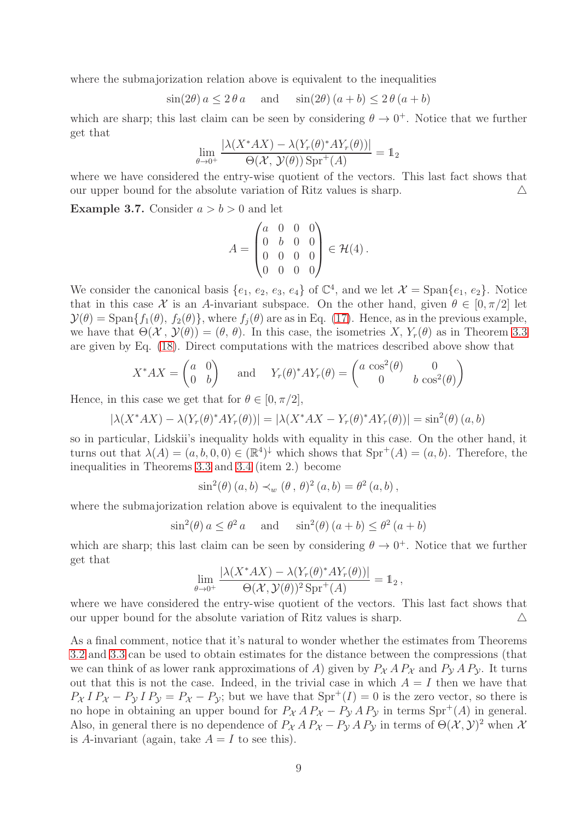where the submajorization relation above is equivalent to the inequalities

$$
\sin(2\theta) a \le 2\theta a \quad \text{and} \quad \sin(2\theta) (a+b) \le 2\theta (a+b)
$$

which are sharp; this last claim can be seen by considering  $\theta \to 0^+$ . Notice that we further get that

$$
\lim_{\theta \to 0^+} \frac{|\lambda(X^*AX) - \lambda(Y_r(\theta)^*AY_r(\theta))|}{\Theta(\mathcal{X}, \mathcal{Y}(\theta)) \operatorname{Spr}^+(A)} = \mathbb{1}_2
$$

where we have considered the entry-wise quotient of the vectors. This last fact shows that our upper bound for the absolute variation of Ritz values is sharp.  $\triangle$ 

**Example 3.7.** Consider  $a > b > 0$  and let

$$
A = \begin{pmatrix} a & 0 & 0 & 0 \\ 0 & b & 0 & 0 \\ 0 & 0 & 0 & 0 \\ 0 & 0 & 0 & 0 \end{pmatrix} \in \mathcal{H}(4) .
$$

We consider the canonical basis  $\{e_1, e_2, e_3, e_4\}$  of  $\mathbb{C}^4$ , and we let  $\mathcal{X} = \text{Span}\{e_1, e_2\}$ . Notice that in this case X is an A-invariant subspace. On the other hand, given  $\theta \in [0, \pi/2]$  let  $\mathcal{Y}(\theta) = \text{Span}\{f_1(\theta), f_2(\theta)\}\$ , where  $f_i(\theta)$  are as in Eq. [\(17\)](#page-7-0). Hence, as in the previous example, we have that  $\Theta(\mathcal{X}, \mathcal{Y}(\theta)) = (\theta, \theta)$ . In this case, the isometries X,  $Y_r(\theta)$  as in Theorem [3.3](#page-6-1) are given by Eq. [\(18\)](#page-7-1). Direct computations with the matrices described above show that

$$
X^*AX = \begin{pmatrix} a & 0 \\ 0 & b \end{pmatrix} \text{ and } Y_r(\theta)^*AY_r(\theta) = \begin{pmatrix} a\cos^2(\theta) & 0 \\ 0 & b\cos^2(\theta) \end{pmatrix}
$$

Hence, in this case we get that for  $\theta \in [0, \pi/2]$ ,

 $|\lambda(X^*AX) - \lambda(Y_r(\theta)^*AY_r(\theta))| = |\lambda(X^*AX - Y_r(\theta)^*AY_r(\theta))| = \sin^2(\theta)(a, b)$ 

so in particular, Lidskii's inequality holds with equality in this case. On the other hand, it turns out that  $\lambda(A) = (a, b, 0, 0) \in (\mathbb{R}^4)^{\downarrow}$  which shows that  $\text{Spr}^+(A) = (a, b)$ . Therefore, the inequalities in Theorems [3.3](#page-6-1) and [3.4](#page-6-3) (item 2.) become

$$
\sin^2(\theta)(a, b) \prec_w (\theta, \theta)^2(a, b) = \theta^2(a, b),
$$

where the submajorization relation above is equivalent to the inequalities

$$
\sin^2(\theta) a \le \theta^2 a
$$
 and  $\sin^2(\theta) (a+b) \le \theta^2 (a+b)$ 

which are sharp; this last claim can be seen by considering  $\theta \to 0^+$ . Notice that we further get that

$$
\lim_{\theta \to 0^+} \frac{|\lambda(X^*AX) - \lambda(Y_r(\theta)^*AY_r(\theta))|}{\Theta(\mathcal{X}, \mathcal{Y}(\theta))^2 \operatorname{Spr}^+(A)} = \mathbb{1}_2,
$$

where we have considered the entry-wise quotient of the vectors. This last fact shows that our upper bound for the absolute variation of Ritz values is sharp.  $\triangle$ 

As a final comment, notice that it's natural to wonder whether the estimates from Theorems [3.2](#page-5-0) and [3.3](#page-6-1) can be used to obtain estimates for the distance between the compressions (that we can think of as lower rank approximations of A) given by  $P_{\mathcal{X}} A P_{\mathcal{X}}$  and  $P_{\mathcal{Y}} A P_{\mathcal{Y}}$ . It turns out that this is not the case. Indeed, in the trivial case in which  $A = I$  then we have that  $P_X I P_X - P_Y I P_Y = P_X - P_Y$ ; but we have that  $Spr^+(I) = 0$  is the zero vector, so there is no hope in obtaining an upper bound for  $P_{\mathcal{X}} A P_{\mathcal{X}} - P_{\mathcal{Y}} A P_{\mathcal{Y}}$  in terms  $Spr^+(A)$  in general. Also, in general there is no dependence of  $P_{\mathcal{X}} A P_{\mathcal{X}} - P_{\mathcal{Y}} A P_{\mathcal{Y}}$  in terms of  $\Theta(\mathcal{X}, \mathcal{Y})^2$  when  $\mathcal{X}$ is A-invariant (again, take  $A = I$  to see this).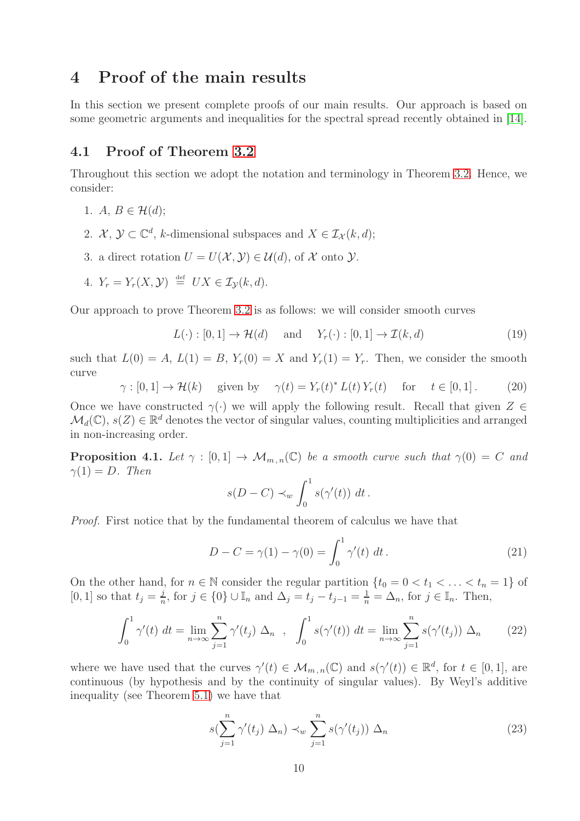### <span id="page-9-0"></span>4 Proof of the main results

In this section we present complete proofs of our main results. Our approach is based on some geometric arguments and inequalities for the spectral spread recently obtained in [\[14\]](#page-21-12).

### <span id="page-9-1"></span>4.1 Proof of Theorem [3.2](#page-5-0)

Throughout this section we adopt the notation and terminology in Theorem [3.2.](#page-5-0) Hence, we consider:

- 1. A,  $B \in \mathcal{H}(d);$
- 2.  $\mathcal{X}, \mathcal{Y} \subset \mathbb{C}^d$ , k-dimensional subspaces and  $X \in \mathcal{I}_{\mathcal{X}}(k, d)$ ;
- 3. a direct rotation  $U = U(\mathcal{X}, \mathcal{Y}) \in \mathcal{U}(d)$ , of X onto  $\mathcal{Y}$ .
- 4.  $Y_r = Y_r(X, \mathcal{Y}) \stackrel{\text{def}}{=} UX \in \mathcal{I}_{\mathcal{Y}}(k, d).$

Our approach to prove Theorem [3.2](#page-5-0) is as follows: we will consider smooth curves

<span id="page-9-5"></span>
$$
L(\cdot) : [0, 1] \to \mathcal{H}(d) \quad \text{and} \quad Y_r(\cdot) : [0, 1] \to \mathcal{I}(k, d)
$$
 (19)

such that  $L(0) = A$ ,  $L(1) = B$ ,  $Y_r(0) = X$  and  $Y_r(1) = Y_r$ . Then, we consider the smooth curve

<span id="page-9-6"></span>
$$
\gamma : [0, 1] \to \mathcal{H}(k) \quad \text{ given by} \quad \gamma(t) = Y_r(t)^* L(t) Y_r(t) \quad \text{for} \quad t \in [0, 1]. \tag{20}
$$

Once we have constructed  $\gamma(\cdot)$  we will apply the following result. Recall that given  $Z \in$  $\mathcal{M}_d(\mathbb{C}), s(Z) \in \mathbb{R}^d$  denotes the vector of singular values, counting multiplicities and arranged in non-increasing order.

<span id="page-9-7"></span>**Proposition 4.1.** Let  $\gamma : [0,1] \to \mathcal{M}_{m,n}(\mathbb{C})$  be a smooth curve such that  $\gamma(0) = C$  and  $\gamma(1) = D$ . Then

$$
s(D-C) \prec_w \int_0^1 s(\gamma'(t)) dt.
$$

*Proof.* First notice that by the fundamental theorem of calculus we have that

<span id="page-9-2"></span>
$$
D - C = \gamma(1) - \gamma(0) = \int_0^1 \gamma'(t) \, dt \,. \tag{21}
$$

On the other hand, for  $n \in \mathbb{N}$  consider the regular partition  $\{t_0 = 0 < t_1 < \ldots < t_n = 1\}$  of [0, 1] so that  $t_j = \frac{j}{n}$  $\frac{j}{n}$ , for  $j \in \{0\} \cup \mathbb{I}_n$  and  $\Delta_j = t_j - t_{j-1} = \frac{1}{n} = \Delta_n$ , for  $j \in \mathbb{I}_n$ . Then,

<span id="page-9-3"></span>
$$
\int_0^1 \gamma'(t) dt = \lim_{n \to \infty} \sum_{j=1}^n \gamma'(t_j) \Delta_n , \quad \int_0^1 s(\gamma'(t)) dt = \lim_{n \to \infty} \sum_{j=1}^n s(\gamma'(t_j)) \Delta_n
$$
 (22)

where we have used that the curves  $\gamma'(t) \in \mathcal{M}_{m,n}(\mathbb{C})$  and  $s(\gamma'(t)) \in \mathbb{R}^d$ , for  $t \in [0,1]$ , are continuous (by hypothesis and by the continuity of singular values). By Weyl's additive inequality (see Theorem [5.1\)](#page-19-3) we have that

<span id="page-9-4"></span>
$$
s(\sum_{j=1}^{n} \gamma'(t_j) \Delta_n) \prec_w \sum_{j=1}^{n} s(\gamma'(t_j)) \Delta_n \tag{23}
$$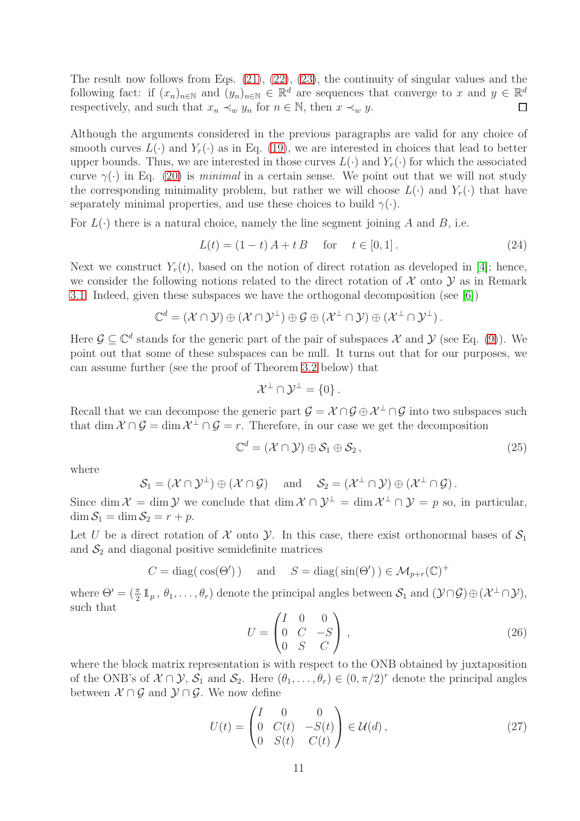The result now follows from Eqs. [\(21\)](#page-9-2), [\(22\)](#page-9-3), [\(23\)](#page-9-4), the continuity of singular values and the following fact: if  $(x_n)_{n\in\mathbb{N}}$  and  $(y_n)_{n\in\mathbb{N}}\in\mathbb{R}^d$  are sequences that converge to x and  $y\in\mathbb{R}^d$ respectively, and such that  $x_n \prec_w y_n$  for  $n \in \mathbb{N}$ , then  $x \prec_w y$ .  $\Box$ 

Although the arguments considered in the previous paragraphs are valid for any choice of smooth curves  $L(\cdot)$  and  $Y_r(\cdot)$  as in Eq. [\(19\)](#page-9-5), we are interested in choices that lead to better upper bounds. Thus, we are interested in those curves  $L(\cdot)$  and  $Y_r(\cdot)$  for which the associated curve  $\gamma(\cdot)$  in Eq. [\(20\)](#page-9-6) is *minimal* in a certain sense. We point out that we will not study the corresponding minimality problem, but rather we will choose  $L(\cdot)$  and  $Y_r(\cdot)$  that have separately minimal properties, and use these choices to build  $\gamma(\cdot)$ .

For  $L(\cdot)$  there is a natural choice, namely the line segment joining A and B, i.e.

$$
L(t) = (1 - t) A + t B \quad \text{for} \quad t \in [0, 1].
$$
 (24)

Next we construct  $Y_r(t)$ , based on the notion of direct rotation as developed in [\[4\]](#page-21-13); hence, we consider the following notions related to the direct rotation of  $\mathcal X$  onto  $\mathcal Y$  as in Remark [3.1.](#page-4-4) Indeed, given these subspaces we have the orthogonal decomposition (see [\[6\]](#page-21-15))

$$
\mathbb{C}^d=(\mathcal{X}\cap \mathcal{Y})\oplus (\mathcal{X}\cap \mathcal{Y}^\perp)\oplus \mathcal{G}\oplus (\mathcal{X}^\perp\cap \mathcal{Y})\oplus (\mathcal{X}^\perp\cap \mathcal{Y}^\perp).
$$

Here  $\mathcal{G} \subseteq \mathbb{C}^d$  stands for the generic part of the pair of subspaces X and Y (see Eq. [\(9\)](#page-4-5)). We point out that some of these subspaces can be null. It turns out that for our purposes, we can assume further (see the proof of Theorem [3.2](#page-5-0) below) that

$$
\mathcal{X}^{\perp} \cap \mathcal{Y}^{\perp} = \{0\}.
$$

Recall that we can decompose the generic part  $\mathcal{G} = \mathcal{X} \cap \mathcal{G} \oplus \mathcal{X}^{\perp} \cap \mathcal{G}$  into two subspaces such that dim  $\mathcal{X} \cap \mathcal{G} = \dim \mathcal{X}^{\perp} \cap \mathcal{G} = r$ . Therefore, in our case we get the decomposition

<span id="page-10-1"></span>
$$
\mathbb{C}^d = (\mathcal{X} \cap \mathcal{Y}) \oplus \mathcal{S}_1 \oplus \mathcal{S}_2, \qquad (25)
$$

where

$$
\mathcal{S}_1 = (\mathcal{X} \cap \mathcal{Y}^\perp) \oplus (\mathcal{X} \cap \mathcal{G}) \quad \text{ and } \quad \mathcal{S}_2 = (\mathcal{X}^\perp \cap \mathcal{Y}) \oplus (\mathcal{X}^\perp \cap \mathcal{G}).
$$

Since dim  $\mathcal{X} = \dim \mathcal{Y}$  we conclude that  $\dim \mathcal{X} \cap \mathcal{Y}^{\perp} = \dim \mathcal{X}^{\perp} \cap \mathcal{Y} = p$  so, in particular,  $\dim \mathcal{S}_1 = \dim \mathcal{S}_2 = r + p.$ 

Let U be a direct rotation of X onto  $\mathcal Y$ . In this case, there exist orthonormal bases of  $\mathcal S_1$ and  $S_2$  and diagonal positive semidefinite matrices

$$
C = \text{diag}(\cos(\Theta')) \quad \text{and} \quad S = \text{diag}(\sin(\Theta')) \in \mathcal{M}_{p+r}(\mathbb{C})^+
$$

where  $\Theta' = (\frac{\pi}{2} 1_p, \theta_1, \dots, \theta_r)$  denote the principal angles between  $S_1$  and  $(\mathcal{Y} \cap \mathcal{G}) \oplus (\mathcal{X}^{\perp} \cap \mathcal{Y})$ , such that

$$
U = \begin{pmatrix} I & 0 & 0 \\ 0 & C & -S \\ 0 & S & C \end{pmatrix},
$$
 (26)

where the block matrix representation is with respect to the ONB obtained by juxtaposition of the ONB's of  $\mathcal{X} \cap \mathcal{Y}$ ,  $\mathcal{S}_1$  and  $\mathcal{S}_2$ . Here  $(\theta_1, \ldots, \theta_r) \in (0, \pi/2)^r$  denote the principal angles between  $X \cap G$  and  $Y \cap G$ . We now define

<span id="page-10-0"></span>
$$
U(t) = \begin{pmatrix} I & 0 & 0 \\ 0 & C(t) & -S(t) \\ 0 & S(t) & C(t) \end{pmatrix} \in \mathcal{U}(d), \qquad (27)
$$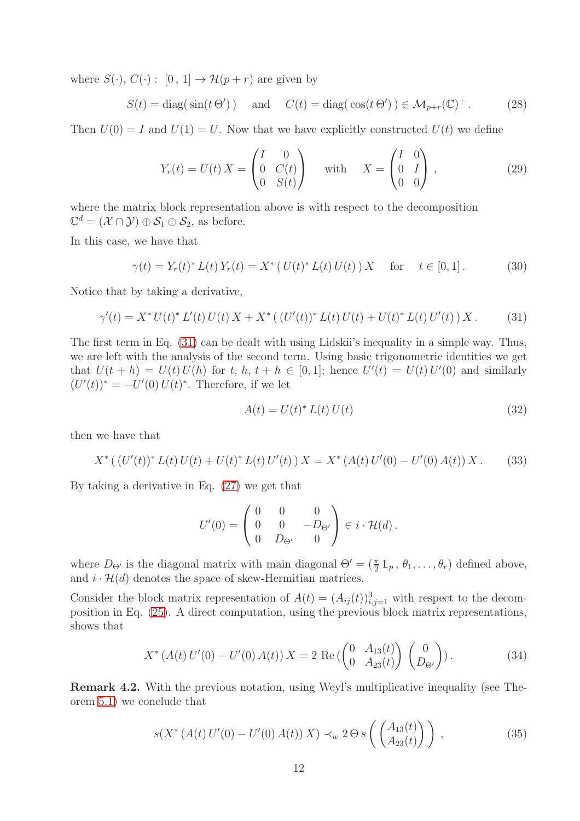where  $S(\cdot)$ ,  $C(\cdot)$ :  $[0, 1] \rightarrow \mathcal{H}(p+r)$  are given by

$$
S(t) = \text{diag}(\sin(t \Theta')) \quad \text{and} \quad C(t) = \text{diag}(\cos(t \Theta')) \in \mathcal{M}_{p+r}(\mathbb{C})^+ \,. \tag{28}
$$

Then  $U(0) = I$  and  $U(1) = U$ . Now that we have explicitly constructed  $U(t)$  we define

<span id="page-11-3"></span>
$$
Y_r(t) = U(t) X = \begin{pmatrix} I & 0 \\ 0 & C(t) \\ 0 & S(t) \end{pmatrix} \quad \text{with} \quad X = \begin{pmatrix} I & 0 \\ 0 & I \\ 0 & 0 \end{pmatrix}, \tag{29}
$$

where the matrix block representation above is with respect to the decomposition  $\mathbb{C}^d = (\mathcal{X} \cap \mathcal{Y}) \oplus \mathcal{S}_1 \oplus \mathcal{S}_2$ , as before.

In this case, we have that

<span id="page-11-2"></span>
$$
\gamma(t) = Y_r(t)^* L(t) Y_r(t) = X^* (U(t)^* L(t) U(t)) X \quad \text{for} \quad t \in [0, 1]. \tag{30}
$$

Notice that by taking a derivative,

<span id="page-11-0"></span>
$$
\gamma'(t) = X^* U(t)^* L'(t) U(t) X + X^* ((U'(t))^* L(t) U(t) + U(t)^* L(t) U'(t) ) X.
$$
 (31)

The first term in Eq. [\(31\)](#page-11-0) can be dealt with using Lidskii's inequality in a simple way. Thus, we are left with the analysis of the second term. Using basic trigonometric identities we get that  $U(t+h) = U(t)U(h)$  for  $t, h, t+h \in [0,1]$ ; hence  $U'(t) = U(t)U'(0)$  and similarly  $(U'(t))^* = -U'(0) U(t)^*$ . Therefore, if we let

<span id="page-11-1"></span>
$$
A(t) = U(t)^* L(t) U(t)
$$
\n
$$
(32)
$$

then we have that

<span id="page-11-4"></span>
$$
X^* ((U'(t))^* L(t) U(t) + U(t)^* L(t) U'(t) ) X = X^* (A(t) U'(0) - U'(0) A(t) ) X.
$$
 (33)

By taking a derivative in Eq. [\(27\)](#page-10-0) we get that

$$
U'(0) = \begin{pmatrix} 0 & 0 & 0 \\ 0 & 0 & -D_{\Theta'} \\ 0 & D_{\Theta'} & 0 \end{pmatrix} \in i \cdot \mathcal{H}(d) .
$$

where  $D_{\Theta'}$  is the diagonal matrix with main diagonal  $\Theta' = (\frac{\pi}{2} \mathbb{1}_p, \theta_1, \dots, \theta_r)$  defined above, and  $i \cdot \mathcal{H}(d)$  denotes the space of skew-Hermitian matrices.

Consider the block matrix representation of  $A(t) = (A_{ij}(t))_{i,j=1}^3$  with respect to the decomposition in Eq. [\(25\)](#page-10-1). A direct computation, using the previous block matrix representations, shows that

<span id="page-11-5"></span>
$$
X^* \left( A(t) \, U'(0) - U'(0) \, A(t) \right) X = 2 \, \text{Re} \left( \begin{pmatrix} 0 & A_{13}(t) \\ 0 & A_{23}(t) \end{pmatrix} \begin{pmatrix} 0 \\ D_{\Theta'} \end{pmatrix} \right). \tag{34}
$$

Remark 4.2. With the previous notation, using Weyl's multiplicative inequality (see Theorem [5.1\)](#page-19-3) we conclude that

<span id="page-11-6"></span>
$$
s(X^*(A(t)U'(0) - U'(0)A(t))X) \prec_w 2\Theta s\left(\begin{pmatrix} A_{13}(t) \\ A_{23}(t) \end{pmatrix}\right),\tag{35}
$$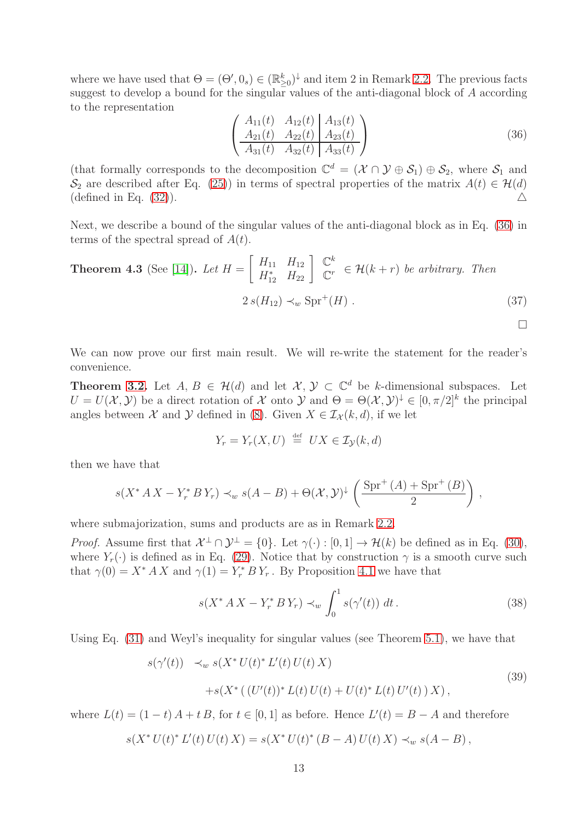where we have used that  $\Theta = (\Theta', 0_s) \in (\mathbb{R}_{\geq 0}^k)^{\downarrow}$  and item 2 in Remark [2.2.](#page-4-2) The previous facts suggest to develop a bound for the singular values of the anti-diagonal block of  $A$  according to the representation

<span id="page-12-0"></span>
$$
\left(\begin{array}{cc|c} A_{11}(t) & A_{12}(t) & A_{13}(t) \\ A_{21}(t) & A_{22}(t) & A_{23}(t) \\ \hline A_{31}(t) & A_{32}(t) & A_{33}(t) \end{array}\right) (36)
$$

 $\Box$ 

(that formally corresponds to the decomposition  $\mathbb{C}^d = (\mathcal{X} \cap \mathcal{Y} \oplus \mathcal{S}_1) \oplus \mathcal{S}_2$ , where  $\mathcal{S}_1$  and  $\mathcal{S}_2$  are described after Eq. [\(25\)](#page-10-1)) in terms of spectral properties of the matrix  $A(t) \in \mathcal{H}(d)$ (defined in Eq. [\(32\)](#page-11-1)).  $\triangle$ 

Next, we describe a bound of the singular values of the anti-diagonal block as in Eq. [\(36\)](#page-12-0) in terms of the spectral spread of  $A(t)$ .

<span id="page-12-1"></span>**Theorem 4.3** (See [14]). Let 
$$
H = \begin{bmatrix} H_{11} & H_{12} \\ H_{12}^* & H_{22} \end{bmatrix} \begin{bmatrix} \mathbb{C}^k \\ \mathbb{C}^r \end{bmatrix} \in \mathcal{H}(k+r)
$$
 be arbitrary. Then  

$$
2 s(H_{12}) \prec_w \text{Spr}^+(H) .
$$
 (37)

We can now prove our first main result. We will re-write the statement for the reader's convenience.

**Theorem [3.2.](#page-5-0)** Let  $A, B \in \mathcal{H}(d)$  and let  $\mathcal{X}, \mathcal{Y} \subset \mathbb{C}^d$  be k-dimensional subspaces. Let  $U = U(\mathcal{X}, \mathcal{Y})$  be a direct rotation of  $\mathcal X$  onto  $\mathcal Y$  and  $\Theta = \Theta(\mathcal{X}, \mathcal{Y})^{\downarrow} \in [0, \pi/2]^k$  the principal angles between X and Y defined in [\(8\)](#page-4-3). Given  $X \in \mathcal{I}_{\mathcal{X}}(k, d)$ , if we let

$$
Y_r = Y_r(X, U) \stackrel{\text{def}}{=} UX \in \mathcal{I}_{\mathcal{Y}}(k, d)
$$

then we have that

$$
s(X^* A X - Y_r^* B Y_r) \prec_w s(A - B) + \Theta(\mathcal{X}, \mathcal{Y})^{\downarrow} \left( \frac{\text{Spr}^+(A) + \text{Spr}^+(B)}{2} \right),
$$

where submajorization, sums and products are as in Remark [2.2.](#page-4-2)

*Proof.* Assume first that  $\mathcal{X}^{\perp} \cap \mathcal{Y}^{\perp} = \{0\}$ . Let  $\gamma(\cdot) : [0,1] \to \mathcal{H}(k)$  be defined as in Eq. [\(30\)](#page-11-2), where  $Y_r(\cdot)$  is defined as in Eq. [\(29\)](#page-11-3). Notice that by construction  $\gamma$  is a smooth curve such that  $\gamma(0) = X^* A X$  and  $\gamma(1) = Y^* F Y_r$ . By Proposition [4.1](#page-9-7) we have that

<span id="page-12-3"></span>
$$
s(X^* A X - Y_r^* B Y_r) \prec_w \int_0^1 s(\gamma'(t)) dt.
$$
 (38)

Using Eq. [\(31\)](#page-11-0) and Weyl's inequality for singular values (see Theorem [5.1\)](#page-19-3), we have that

<span id="page-12-2"></span>
$$
s(\gamma'(t)) \prec_w s(X^* U(t)^* L'(t) U(t) X)
$$
  
+
$$
s(X^* ((U'(t))^* L(t) U(t) + U(t)^* L(t) U'(t) ) X),
$$
\n(39)

where  $L(t) = (1-t) A + t B$ , for  $t \in [0,1]$  as before. Hence  $L'(t) = B - A$  and therefore

$$
s(X^* U(t)^* L'(t) U(t) X) = s(X^* U(t)^* (B - A) U(t) X) \prec_w s(A - B),
$$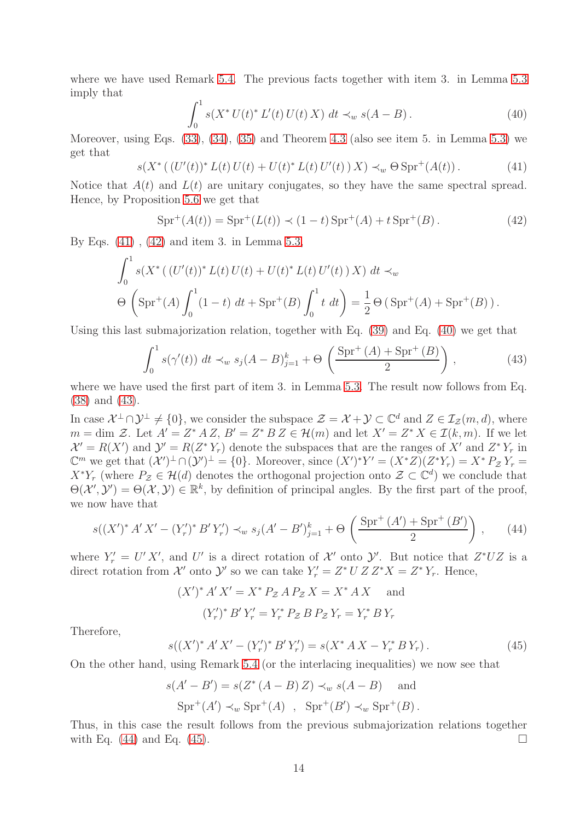where we have used Remark [5.4.](#page-20-1) The previous facts together with item 3. in Lemma [5.3](#page-19-4) imply that

<span id="page-13-2"></span>
$$
\int_0^1 s(X^* U(t)^* L'(t) U(t) X) dt \prec_w s(A - B).
$$
 (40)

Moreover, using Eqs. [\(33\)](#page-11-4), [\(34\)](#page-11-5), [\(35\)](#page-11-6) and Theorem [4.3](#page-12-1) (also see item 5. in Lemma [5.3\)](#page-19-4) we get that

<span id="page-13-0"></span>
$$
s(X^* \left( (U'(t))^* L(t) U(t) + U(t)^* L(t) U'(t) \right) X) \prec_w \Theta \operatorname{Spr}^+(A(t)). \tag{41}
$$

Notice that  $A(t)$  and  $L(t)$  are unitary conjugates, so they have the same spectral spread. Hence, by Proposition [5.6](#page-20-2) we get that

<span id="page-13-1"></span>
$$
Spr^{+}(A(t)) = Spr^{+}(L(t)) \prec (1-t) Spr^{+}(A) + t Spr^{+}(B).
$$
 (42)

By Eqs. [\(41\)](#page-13-0) , [\(42\)](#page-13-1) and item 3. in Lemma [5.3,](#page-19-4)

$$
\int_0^1 s(X^* ( (U'(t))^* L(t) U(t) + U(t)^* L(t) U'(t) ) X ) dt \prec_w
$$
  
\n
$$
\Theta \left( \text{Spr}^+(A) \int_0^1 (1-t) dt + \text{Spr}^+(B) \int_0^1 t dt \right) = \frac{1}{2} \Theta \left( \text{Spr}^+(A) + \text{Spr}^+(B) \right).
$$

Using this last submajorization relation, together with Eq. [\(39\)](#page-12-2) and Eq. [\(40\)](#page-13-2) we get that

<span id="page-13-3"></span>
$$
\int_0^1 s(\gamma'(t)) \ dt \prec_w s_j(A - B)_{j=1}^k + \Theta\left(\frac{\text{Spr}^+(A) + \text{Spr}^+(B)}{2}\right),\tag{43}
$$

where we have used the first part of item 3. in Lemma [5.3.](#page-19-4) The result now follows from Eq. [\(38\)](#page-12-3) and [\(43\)](#page-13-3).

In case  $\mathcal{X}^{\perp}\cap\mathcal{Y}^{\perp}\neq\{0\}$ , we consider the subspace  $\mathcal{Z}=\mathcal{X}+\mathcal{Y}\subset\mathbb{C}^{d}$  and  $Z\in\mathcal{I}_{\mathcal{Z}}(m,d)$ , where  $m = \dim \mathcal{Z}$ . Let  $A' = Z^* A Z$ ,  $B' = Z^* B Z \in \mathcal{H}(m)$  and let  $X' = Z^* X \in \mathcal{I}(k,m)$ . If we let  $\mathcal{X}' = R(X')$  and  $\mathcal{Y}' = R(Z^*Y_r)$  denote the subspaces that are the ranges of X' and  $Z^*Y_r$  in  $\mathbb{C}^m$  we get that  $(\mathcal{X}')^{\perp} \cap (\mathcal{Y}')^{\perp} = \{0\}$ . Moreover, since  $(X')^*Y' = (X^*Z)(Z^*Y_r) = X^*P_{\mathcal{Z}}Y_r =$  $X^*Y_r$  (where  $P_{\mathcal{Z}} \in \mathcal{H}(d)$  denotes the orthogonal projection onto  $\mathcal{Z} \subset \mathbb{C}^d$ ) we conclude that  $\Theta(\mathcal{X}', \mathcal{Y}') = \Theta(\mathcal{X}, \mathcal{Y}) \in \mathbb{R}^k$ , by definition of principal angles. By the first part of the proof, we now have that

<span id="page-13-4"></span>
$$
s((X')^* A' X' - (Y'_r)^* B' Y'_r) \prec_w s_j (A' - B')_{j=1}^k + \Theta\left(\frac{\text{Spr}^+(A') + \text{Spr}^+(B')}{2}\right), \qquad (44)
$$

where  $Y'_r = U' X'$ , and U' is a direct rotation of X' onto  $\mathcal{Y}'$ . But notice that  $Z^*UZ$  is a direct rotation from X' onto Y' so we can take  $Y'_r = Z^* U Z Z^* X = Z^* Y_r$ . Hence,

$$
(X')^* A' X' = X^* P_{\mathcal{Z}} A P_{\mathcal{Z}} X = X^* A X \text{ and}
$$

$$
(Y'_r)^* B' Y'_r = Y^*_r P_{\mathcal{Z}} B P_{\mathcal{Z}} Y_r = Y^*_r B Y_r
$$

Therefore,

<span id="page-13-5"></span>
$$
s((X')^* A' X' - (Y'_r)^* B' Y'_r) = s(X^* A X - Y_r^* B Y_r).
$$
\n(45)

On the other hand, using Remark [5.4](#page-20-1) (or the interlacing inequalities) we now see that

$$
s(A' - B') = s(Z^*(A - B) Z) \prec_w s(A - B) \text{ and}
$$
  

$$
Spr^+(A') \prec_w Spr^+(A) , Spr^+(B') \prec_w Spr^+(B).
$$

Thus, in this case the result follows from the previous submajorization relations together with Eq. [\(44\)](#page-13-4) and Eq. [\(45\)](#page-13-5).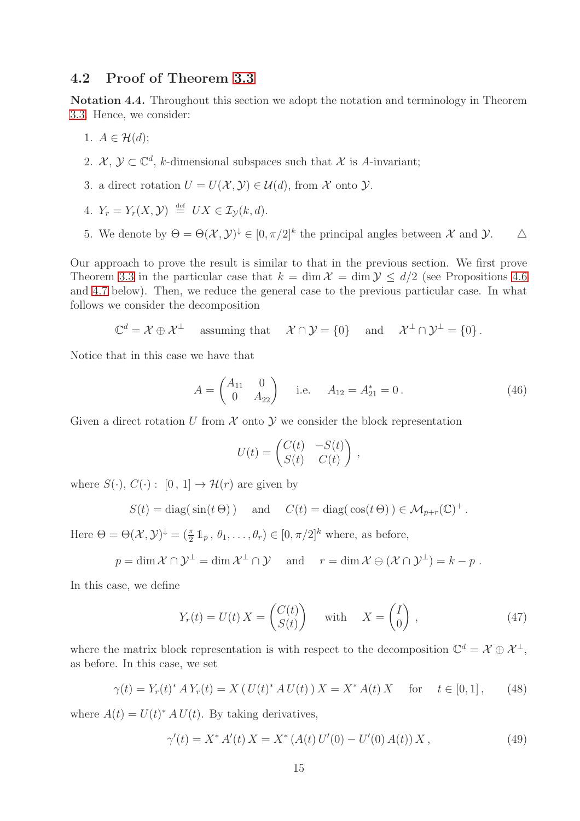#### <span id="page-14-0"></span>4.2 Proof of Theorem [3.3](#page-6-1)

<span id="page-14-2"></span>Notation 4.4. Throughout this section we adopt the notation and terminology in Theorem [3.3.](#page-6-1) Hence, we consider:

- 1.  $A \in \mathcal{H}(d);$
- 2.  $\mathcal{X}, \mathcal{Y} \subset \mathbb{C}^d$ , k-dimensional subspaces such that X is A-invariant;
- 3. a direct rotation  $U = U(\mathcal{X}, \mathcal{Y}) \in \mathcal{U}(d)$ , from X onto  $\mathcal{Y}$ .
- 4.  $Y_r = Y_r(X, Y) \stackrel{\text{def}}{=} UX \in \mathcal{I}_{\mathcal{Y}}(k, d).$
- 5. We denote by  $\Theta = \Theta(\mathcal{X}, \mathcal{Y})^{\downarrow} \in [0, \pi/2]^k$  the principal angles between  $\mathcal{X}$  and  $\mathcal{Y}$ .  $\Delta$

Our approach to prove the result is similar to that in the previous section. We first prove Theorem [3.3](#page-6-1) in the particular case that  $k = \dim \mathcal{X} = \dim \mathcal{Y} \leq d/2$  (see Propositions [4.6](#page-15-0)) and [4.7](#page-16-0) below). Then, we reduce the general case to the previous particular case. In what follows we consider the decomposition

$$
\mathbb{C}^d = \mathcal{X} \oplus \mathcal{X}^\perp \quad \text{assuming that} \quad \mathcal{X} \cap \mathcal{Y} = \{0\} \quad \text{ and} \quad \mathcal{X}^\perp \cap \mathcal{Y}^\perp = \{0\}.
$$

Notice that in this case we have that

<span id="page-14-1"></span>
$$
A = \begin{pmatrix} A_{11} & 0 \\ 0 & A_{22} \end{pmatrix}
$$
 i.e.  $A_{12} = A_{21}^* = 0$ . (46)

,

Given a direct rotation U from  $\mathcal X$  onto  $\mathcal Y$  we consider the block representation

$$
U(t) = \begin{pmatrix} C(t) & -S(t) \\ S(t) & C(t) \end{pmatrix}
$$

where  $S(\cdot), C(\cdot) : [0, 1] \to \mathcal{H}(r)$  are given by

$$
S(t) = \text{diag}(\sin(t \Theta))
$$
 and  $C(t) = \text{diag}(\cos(t \Theta)) \in \mathcal{M}_{p+r}(\mathbb{C})^+$ .

Here  $\Theta = \Theta(\mathcal{X}, \mathcal{Y})^{\downarrow} = (\frac{\pi}{2} \mathbb{1}_p, \theta_1, \dots, \theta_r) \in [0, \pi/2]^k$  where, as before,

$$
p = \dim \mathcal{X} \cap \mathcal{Y}^{\perp} = \dim \mathcal{X}^{\perp} \cap \mathcal{Y} \quad \text{and} \quad r = \dim \mathcal{X} \ominus (\mathcal{X} \cap \mathcal{Y}^{\perp}) = k - p.
$$

In this case, we define

$$
Y_r(t) = U(t) X = \begin{pmatrix} C(t) \\ S(t) \end{pmatrix} \quad \text{with} \quad X = \begin{pmatrix} I \\ 0 \end{pmatrix}, \tag{47}
$$

where the matrix block representation is with respect to the decomposition  $\mathbb{C}^d = \mathcal{X} \oplus \mathcal{X}^{\perp}$ , as before. In this case, we set

<span id="page-14-3"></span>
$$
\gamma(t) = Y_r(t)^* A Y_r(t) = X (U(t)^* A U(t)) X = X^* A(t) X \quad \text{for} \quad t \in [0, 1], \tag{48}
$$

where  $A(t) = U(t)^* A U(t)$ . By taking derivatives,

$$
\gamma'(t) = X^* A'(t) X = X^* (A(t) U'(0) - U'(0) A(t)) X,
$$
\n(49)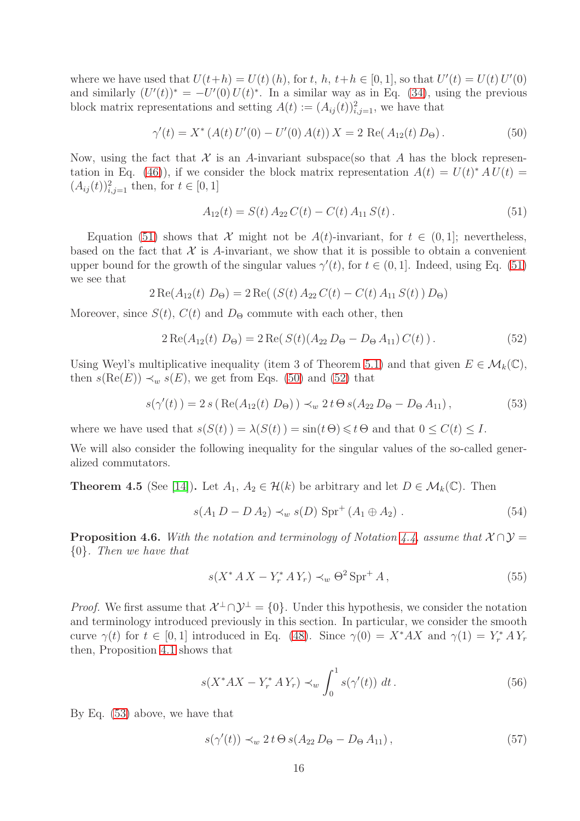where we have used that  $U(t+h) = U(t)$  (h), for t, h,  $t+h \in [0,1]$ , so that  $U'(t) = U(t) U'(0)$ and similarly  $(U'(t))^* = -U'(0)U(t)^*$ . In a similar way as in Eq. [\(34\)](#page-11-5), using the previous block matrix representations and setting  $A(t) := (A_{ij}(t))_{i,j=1}^2$ , we have that

<span id="page-15-2"></span>
$$
\gamma'(t) = X^* \left( A(t) \, U'(0) - U'(0) \, A(t) \right) X = 2 \, \text{Re}(A_{12}(t) \, D_{\Theta}). \tag{50}
$$

Now, using the fact that  $\mathcal X$  is an A-invariant subspace(so that A has the block represen-tation in Eq. [\(46\)](#page-14-1)), if we consider the block matrix representation  $A(t) = U(t)^* A U(t) =$  $(A_{ij}(t))_{i,j=1}^2$  then, for  $t \in [0,1]$ 

<span id="page-15-1"></span>
$$
A_{12}(t) = S(t) A_{22} C(t) - C(t) A_{11} S(t).
$$
\n(51)

Equation [\(51\)](#page-15-1) shows that X might not be  $A(t)$ -invariant, for  $t \in (0,1]$ ; nevertheless, based on the fact that  $\mathcal X$  is A-invariant, we show that it is possible to obtain a convenient upper bound for the growth of the singular values  $\gamma'(t)$ , for  $t \in (0, 1]$ . Indeed, using Eq. [\(51\)](#page-15-1) we see that

$$
2 \operatorname{Re}(A_{12}(t) D_{\Theta}) = 2 \operatorname{Re}((S(t) A_{22} C(t) - C(t) A_{11} S(t)) D_{\Theta})
$$

Moreover, since  $S(t)$ ,  $C(t)$  and  $D_{\Theta}$  commute with each other, then

<span id="page-15-3"></span>
$$
2 \operatorname{Re}(A_{12}(t) D_{\Theta}) = 2 \operatorname{Re}(S(t)(A_{22} D_{\Theta} - D_{\Theta} A_{11}) C(t)). \tag{52}
$$

Using Weyl's multiplicative inequality (item 3 of Theorem [5.1\)](#page-19-3) and that given  $E \in \mathcal{M}_k(\mathbb{C}),$ then  $s(Re(E)) \prec_w s(E)$ , we get from Eqs. [\(50\)](#page-15-2) and [\(52\)](#page-15-3) that

<span id="page-15-4"></span>
$$
s(\gamma'(t)) = 2 s ( \text{Re}(A_{12}(t) D_{\Theta})) \prec_w 2 t \Theta s (A_{22} D_{\Theta} - D_{\Theta} A_{11}), \qquad (53)
$$

where we have used that  $s(S(t)) = \lambda(S(t)) = \sin(t \Theta) \leq t \Theta$  and that  $0 \leq C(t) \leq I$ .

We will also consider the following inequality for the singular values of the so-called generalized commutators.

<span id="page-15-5"></span>**Theorem 4.5** (See [\[14\]](#page-21-12)). Let  $A_1, A_2 \in \mathcal{H}(k)$  be arbitrary and let  $D \in \mathcal{M}_k(\mathbb{C})$ . Then

$$
s(A_1 D - D A_2) \prec_w s(D) \text{Spr}^+(A_1 \oplus A_2).
$$
 (54)

<span id="page-15-0"></span>**Proposition 4.6.** With the notation and terminology of Notation [4.4,](#page-14-2) assume that  $X \cap Y =$ {0}*. Then we have that*

<span id="page-15-8"></span>
$$
s(X^* A X - Y^* A Y_r) \prec_w \Theta^2 \operatorname{Spr}^+ A,
$$
\n
$$
(55)
$$

*Proof.* We first assume that  $\mathcal{X}^{\perp} \cap \mathcal{Y}^{\perp} = \{0\}$ . Under this hypothesis, we consider the notation and terminology introduced previously in this section. In particular, we consider the smooth curve  $\gamma(t)$  for  $t \in [0,1]$  introduced in Eq. [\(48\)](#page-14-3). Since  $\gamma(0) = X^* A X$  and  $\gamma(1) = Y^*_{r} A Y_{r}$ then, Proposition [4.1](#page-9-7) shows that

<span id="page-15-7"></span>
$$
s(X^*AX - Y_r^*AY_r) \prec_w \int_0^1 s(\gamma'(t)) \ dt.
$$
 (56)

By Eq. [\(53\)](#page-15-4) above, we have that

<span id="page-15-6"></span>
$$
s(\gamma'(t)) \prec_w 2t \Theta \, s(A_{22} \, D_{\Theta} - D_{\Theta} \, A_{11}), \tag{57}
$$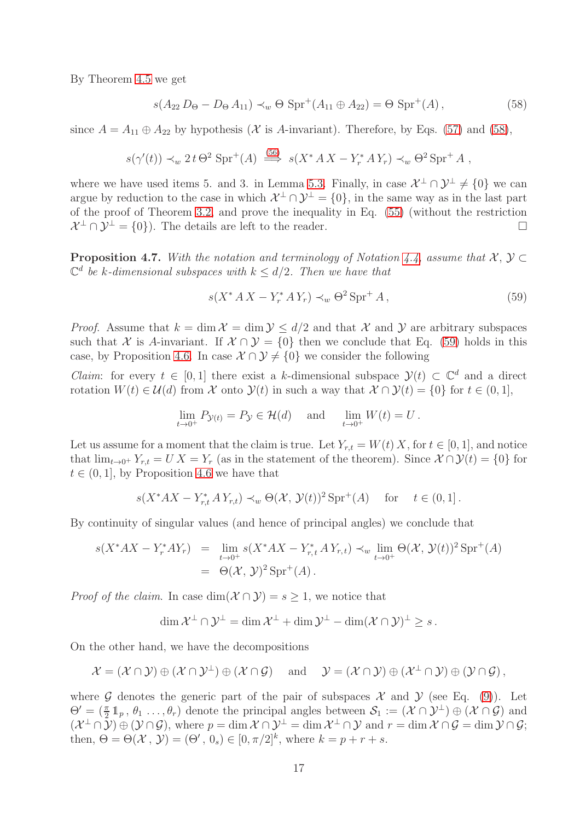By Theorem [4.5](#page-15-5) we get

<span id="page-16-1"></span>
$$
s(A_{22} D_{\Theta} - D_{\Theta} A_{11}) \prec_w \Theta \text{Spr}^+(A_{11} \oplus A_{22}) = \Theta \text{ Spr}^+(A), \qquad (58)
$$

since  $A = A_{11} \oplus A_{22}$  by hypothesis (X is A-invariant). Therefore, by Eqs. [\(57\)](#page-15-6) and [\(58\)](#page-16-1),

$$
s(\gamma'(t)) \prec_w 2t \Theta^2 \text{Spr}^+(A) \stackrel{(56)}{\Longrightarrow} s(X^* A X - Y^* A Y_r) \prec_w \Theta^2 \text{Spr}^+ A ,
$$

where we have used items 5. and 3. in Lemma [5.3.](#page-19-4) Finally, in case  $\mathcal{X}^{\perp} \cap \mathcal{Y}^{\perp} \neq \{0\}$  we can argue by reduction to the case in which  $\mathcal{X}^{\perp} \cap \mathcal{Y}^{\perp} = \{0\}$ , in the same way as in the last part of the proof of Theorem [3.2,](#page-5-0) and prove the inequality in Eq. [\(55\)](#page-15-8) (without the restriction  $\mathcal{X}^{\perp} \cap \mathcal{Y}^{\perp} = \{0\}$ . The details are left to the reader.

<span id="page-16-0"></span>**Proposition 4.7.** With the notation and terminology of Notation [4.4,](#page-14-2) assume that  $\mathcal{X}, \mathcal{Y} \subset$  $\mathbb{C}^d$  be k-dimensional subspaces with  $k \leq d/2$ . Then we have that

<span id="page-16-2"></span>
$$
s(X^* A X - Y^* A Y_r) \prec_w \Theta^2 \operatorname{Spr}^+ A,
$$
\n
$$
(59)
$$

*Proof.* Assume that  $k = \dim \mathcal{X} = \dim \mathcal{Y} \le d/2$  and that X and Y are arbitrary subspaces such that X is A-invariant. If  $X \cap Y = \{0\}$  then we conclude that Eq. [\(59\)](#page-16-2) holds in this case, by Proposition [4.6.](#page-15-0) In case  $\mathcal{X} \cap \mathcal{Y} \neq \{0\}$  we consider the following

*Claim*: for every  $t \in [0, 1]$  there exist a k-dimensional subspace  $\mathcal{Y}(t) \subset \mathbb{C}^d$  and a direct rotation  $W(t) \in \mathcal{U}(d)$  from X onto  $\mathcal{Y}(t)$  in such a way that  $\mathcal{X} \cap \mathcal{Y}(t) = \{0\}$  for  $t \in (0, 1]$ ,

$$
\lim_{t \to 0^+} P_{\mathcal{Y}(t)} = P_{\mathcal{Y}} \in \mathcal{H}(d) \quad \text{and} \quad \lim_{t \to 0^+} W(t) = U.
$$

Let us assume for a moment that the claim is true. Let  $Y_{r,t} = W(t) X$ , for  $t \in [0,1]$ , and notice that  $\lim_{t\to 0^+} Y_{r,t} = U X = Y_r$  (as in the statement of the theorem). Since  $\mathcal{X} \cap \mathcal{Y}(t) = \{0\}$  for  $t \in (0, 1]$ , by Proposition [4.6](#page-15-0) we have that

$$
s(X^*AX - Y_{r,t}^* A Y_{r,t}) \prec_w \Theta(\mathcal{X}, \mathcal{Y}(t))^2 \operatorname{Spr}^+(A) \quad \text{for} \quad t \in (0,1].
$$

By continuity of singular values (and hence of principal angles) we conclude that

$$
s(X^*AX - Y_r^*AY_r) = \lim_{t \to 0^+} s(X^*AX - Y_{r,t}^* A Y_{r,t}) \prec_w \lim_{t \to 0^+} \Theta(\mathcal{X}, \mathcal{Y}(t))^2 \operatorname{Spr}^+(A)
$$
  
=  $\Theta(\mathcal{X}, \mathcal{Y})^2 \operatorname{Spr}^+(A).$ 

*Proof of the claim.* In case  $dim(\mathcal{X} \cap \mathcal{Y}) = s \geq 1$ , we notice that

$$
\dim \mathcal{X}^{\perp} \cap \mathcal{Y}^{\perp} = \dim \mathcal{X}^{\perp} + \dim \mathcal{Y}^{\perp} - \dim (\mathcal{X} \cap \mathcal{Y})^{\perp} \geq s.
$$

On the other hand, we have the decompositions

$$
\mathcal{X} = (\mathcal{X} \cap \mathcal{Y}) \oplus (\mathcal{X} \cap \mathcal{Y}^{\perp}) \oplus (\mathcal{X} \cap \mathcal{G}) \quad \text{and} \quad \mathcal{Y} = (\mathcal{X} \cap \mathcal{Y}) \oplus (\mathcal{X}^{\perp} \cap \mathcal{Y}) \oplus (\mathcal{Y} \cap \mathcal{G}),
$$

where G denotes the generic part of the pair of subspaces  $\mathcal X$  and  $\mathcal Y$  (see Eq. [\(9\)](#page-4-5)). Let  $\Theta' = (\frac{\pi}{2} 1_p, \theta_1 \ldots, \theta_r)$  denote the principal angles between  $S_1 := (\mathcal{X} \cap \mathcal{Y}^{\perp}) \oplus (\mathcal{X} \cap \mathcal{G})$  and  $(\mathcal{X}^{\perp} \cap \overline{\mathcal{Y}}) \oplus (\mathcal{Y} \cap \mathcal{G}),$  where  $p = \dim \mathcal{X} \cap \mathcal{Y}^{\perp} = \dim \mathcal{X}^{\perp} \cap \mathcal{Y}$  and  $r = \dim \mathcal{X} \cap \mathcal{G} = \dim \mathcal{Y} \cap \mathcal{G};$ then,  $\Theta = \Theta(\mathcal{X}, \mathcal{Y}) = (\Theta', 0_s) \in [0, \pi/2]^k$ , where  $k = p + r + s$ .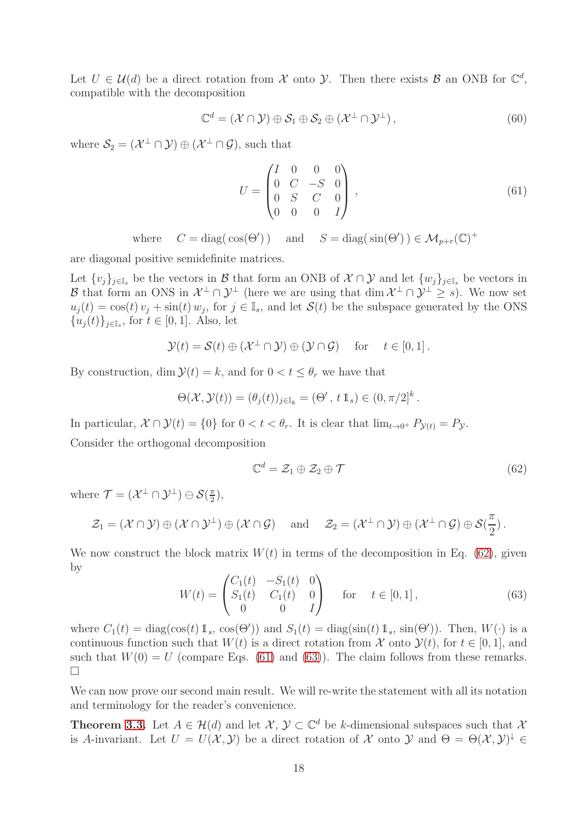Let  $U \in \mathcal{U}(d)$  be a direct rotation from X onto Y. Then there exists B an ONB for  $\mathbb{C}^d$ , compatible with the decomposition

$$
\mathbb{C}^d = (\mathcal{X} \cap \mathcal{Y}) \oplus \mathcal{S}_1 \oplus \mathcal{S}_2 \oplus (\mathcal{X}^\perp \cap \mathcal{Y}^\perp), \tag{60}
$$

where  $\mathcal{S}_2 = (\mathcal{X}^{\perp} \cap \mathcal{Y}) \oplus (\mathcal{X}^{\perp} \cap \mathcal{G})$ , such that

<span id="page-17-1"></span>
$$
U = \begin{pmatrix} I & 0 & 0 & 0 \\ 0 & C & -S & 0 \\ 0 & S & C & 0 \\ 0 & 0 & 0 & I \end{pmatrix},
$$
(61)

where  $C = \text{diag}(\cos(\Theta'))$  and  $S = \text{diag}(\sin(\Theta')) \in \mathcal{M}_{p+r}(\mathbb{C})^+$ 

are diagonal positive semidefinite matrices.

Let  $\{v_j\}_{j\in\mathbb{I}_s}$  be the vectors in  $\mathcal{B}$  that form an ONB of  $\mathcal{X}\cap\mathcal{Y}$  and let  $\{w_j\}_{j\in\mathbb{I}_s}$  be vectors in B that form an ONS in  $\mathcal{X}^{\perp} \cap \mathcal{Y}^{\perp}$  (here we are using that  $\dim \mathcal{X}^{\perp} \cap \mathcal{Y}^{\perp} \geq s$ ). We now set  $u_j(t) = \cos(t)v_j + \sin(t) w_j$ , for  $j \in \mathbb{I}_s$ , and let  $\mathcal{S}(t)$  be the subspace generated by the ONS  ${u_j(t)}_{j\in\mathbb{I}_s}$ , for  $t \in [0,1]$ . Also, let

$$
\mathcal{Y}(t) = \mathcal{S}(t) \oplus (\mathcal{X}^{\perp} \cap \mathcal{Y}) \oplus (\mathcal{Y} \cap \mathcal{G}) \quad \text{for} \quad t \in [0,1].
$$

By construction, dim  $\mathcal{Y}(t) = k$ , and for  $0 < t \leq \theta_r$  we have that

$$
\Theta(\mathcal{X}, \mathcal{Y}(t)) = (\theta_j(t))_{j \in \mathbb{I}_k} = (\Theta', t \mathbb{1}_s) \in (0, \pi/2]^k.
$$

In particular,  $\mathcal{X} \cap \mathcal{Y}(t) = \{0\}$  for  $0 < t < \theta_r$ . It is clear that  $\lim_{t \to 0^+} P_{\mathcal{Y}(t)} = P_{\mathcal{Y}}$ .

Consider the orthogonal decomposition

<span id="page-17-0"></span>
$$
\mathbb{C}^d = \mathcal{Z}_1 \oplus \mathcal{Z}_2 \oplus \mathcal{T} \tag{62}
$$

where  $\mathcal{T} = (\mathcal{X}^{\perp} \cap \mathcal{Y}^{\perp}) \ominus \mathcal{S}(\frac{\pi}{2})$  $\frac{\pi}{2}$ ,

$$
\mathcal{Z}_1 = (\mathcal{X} \cap \mathcal{Y}) \oplus (\mathcal{X} \cap \mathcal{Y}^\perp) \oplus (\mathcal{X} \cap \mathcal{G}) \quad \text{ and } \quad \mathcal{Z}_2 = (\mathcal{X}^\perp \cap \mathcal{Y}) \oplus (\mathcal{X}^\perp \cap \mathcal{G}) \oplus \mathcal{S}(\frac{\pi}{2}).
$$

We now construct the block matrix  $W(t)$  in terms of the decomposition in Eq. [\(62\)](#page-17-0), given by

<span id="page-17-2"></span>
$$
W(t) = \begin{pmatrix} C_1(t) & -S_1(t) & 0 \\ S_1(t) & C_1(t) & 0 \\ 0 & 0 & I \end{pmatrix} \quad \text{for} \quad t \in [0, 1], \tag{63}
$$

where  $C_1(t) = \text{diag}(\cos(t) 1_s, \cos(\Theta'))$  and  $S_1(t) = \text{diag}(\sin(t) 1_s, \sin(\Theta'))$ . Then,  $W(\cdot)$  is a continuous function such that  $W(t)$  is a direct rotation from X onto  $\mathcal{Y}(t)$ , for  $t \in [0, 1]$ , and such that  $W(0) = U$  (compare Eqs. [\(61\)](#page-17-1) and [\(63\)](#page-17-2)). The claim follows from these remarks.  $\Box$ 

We can now prove our second main result. We will re-write the statement with all its notation and terminology for the reader's convenience.

**Theorem [3.3.](#page-6-1)** Let  $A \in \mathcal{H}(d)$  and let  $\mathcal{X}, \mathcal{Y} \subset \mathbb{C}^d$  be k-dimensional subspaces such that  $\mathcal{X}$ is A-invariant. Let  $U = U(\mathcal{X}, \mathcal{Y})$  be a direct rotation of  $\mathcal X$  onto  $\mathcal Y$  and  $\Theta = \Theta(\mathcal{X}, \mathcal{Y})^{\downarrow} \in$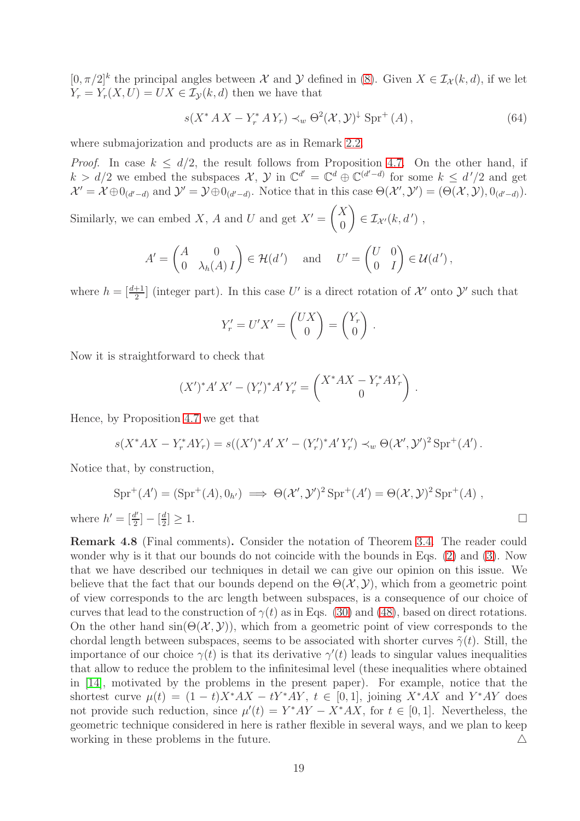$[0, \pi/2]^k$  the principal angles between X and Y defined in [\(8\)](#page-4-3). Given  $X \in \mathcal{I}_{\mathcal{X}}(k, d)$ , if we let  $Y_r = Y_r(X, U) = UX \in I_V(k, d)$  then we have that

$$
s(X^* A X - Y^* A Y_r) \prec_w \Theta^2(\mathcal{X}, \mathcal{Y})^{\downarrow} \operatorname{Spr}^+(A) , \qquad (64)
$$

where submajorization and products are as in Remark [2.2.](#page-4-2)

*Proof.* In case  $k \le d/2$ , the result follows from Proposition [4.7.](#page-16-0) On the other hand, if  $k > d/2$  we embed the subspaces  $\mathcal{X}, \mathcal{Y}$  in  $\mathbb{C}^{d'} = \mathbb{C}^d \oplus \mathbb{C}^{(d'-d)}$  for some  $k \leq d'/2$  and get  $\mathcal{X}' = \mathcal{X} \oplus 0_{(d'-d)}$  and  $\mathcal{Y}' = \mathcal{Y} \oplus 0_{(d'-d)}$ . Notice that in this case  $\Theta(\mathcal{X}', \mathcal{Y}') = (\Theta(\mathcal{X}, \mathcal{Y}), 0_{(d'-d)})$ .

Similarly, we can embed X, A and U and get  $X' = \begin{pmatrix} X \\ 0 \end{pmatrix}$  $\theta$  $\Big) \in \mathcal{I}_{\mathcal{X}'}(k, d')$ ,

$$
A' = \begin{pmatrix} A & 0 \\ 0 & \lambda_h(A) \end{pmatrix} \in \mathcal{H}(d') \quad \text{and} \quad U' = \begin{pmatrix} U & 0 \\ 0 & I \end{pmatrix} \in \mathcal{U}(d'),
$$

where  $h = \left[\frac{d+1}{2}\right]$  (integer part). In this case U' is a direct rotation of X' onto Y' such that

$$
Y'_r = U'X' = \begin{pmatrix} UX \\ 0 \end{pmatrix} = \begin{pmatrix} Y_r \\ 0 \end{pmatrix}.
$$

Now it is straightforward to check that

$$
(X')^*A'X' - (Y'_r)^*A'Y'_r = \begin{pmatrix} X^*AX - Y^*_rAY_r \\ 0 \end{pmatrix}.
$$

Hence, by Proposition [4.7](#page-16-0) we get that

$$
s(X^*AX - Y_r^*AY_r) = s((X')^*A'X' - (Y'_r)^*A'Y'_r) \prec_w \Theta(\mathcal{X}', \mathcal{Y}')^2 \operatorname{Spr}^+(A').
$$

Notice that, by construction,

$$
Spr^+(A') = (\text{Spr}^+(A), 0_{h'}) \implies \Theta(\mathcal{X}', \mathcal{Y}')^2 \text{ Spr}^+(A') = \Theta(\mathcal{X}, \mathcal{Y})^2 \text{Spr}^+(A) ,
$$
  

$$
h' = \left[\frac{d'}{2}\right] - \left[\frac{d}{2}\right] \ge 1.
$$

where  $' = \left[\frac{d}{2}\right]$ 2 ] − [ 2

Remark 4.8 (Final comments). Consider the notation of Theorem [3.4.](#page-6-3) The reader could wonder why is it that our bounds do not coincide with the bounds in Eqs. [\(2\)](#page-2-3) and [\(3\)](#page-2-4). Now that we have described our techniques in detail we can give our opinion on this issue. We believe that the fact that our bounds depend on the  $\Theta(\mathcal{X}, \mathcal{Y})$ , which from a geometric point of view corresponds to the arc length between subspaces, is a consequence of our choice of curves that lead to the construction of  $\gamma(t)$  as in Eqs. [\(30\)](#page-11-2) and [\(48\)](#page-14-3), based on direct rotations. On the other hand  $\sin(\Theta(\mathcal{X}, \mathcal{Y}))$ , which from a geometric point of view corresponds to the chordal length between subspaces, seems to be associated with shorter curves  $\tilde{\gamma}(t)$ . Still, the importance of our choice  $\gamma(t)$  is that its derivative  $\gamma'(t)$  leads to singular values inequalities that allow to reduce the problem to the infinitesimal level (these inequalities where obtained in [\[14\]](#page-21-12), motivated by the problems in the present paper). For example, notice that the shortest curve  $\mu(t) = (1-t)X^*AX - tY^*AY$ ,  $t \in [0,1]$ , joining  $X^*AX$  and  $Y^*AY$  does not provide such reduction, since  $\mu'(t) = Y^*AY - X^*AX$ , for  $t \in [0,1]$ . Nevertheless, the geometric technique considered in here is rather flexible in several ways, and we plan to keep working in these problems in the future.  $\Delta$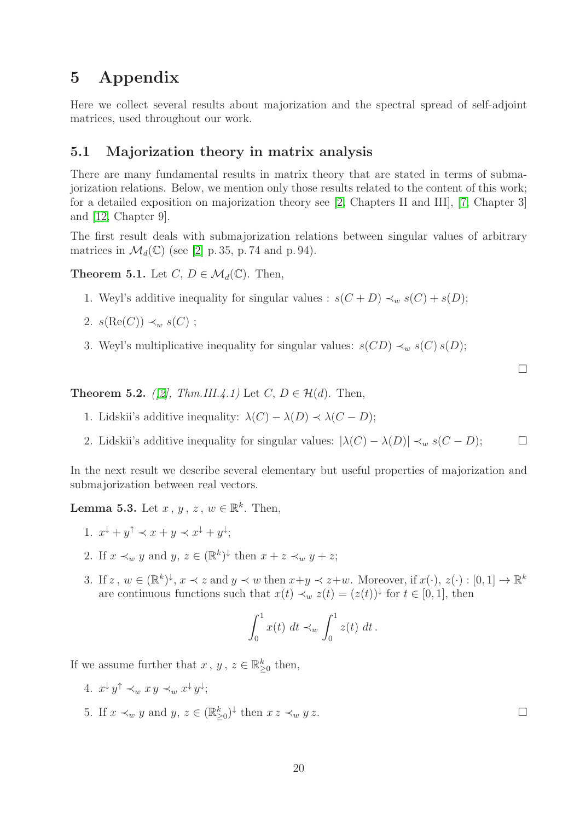# <span id="page-19-0"></span>5 Appendix

Here we collect several results about majorization and the spectral spread of self-adjoint matrices, used throughout our work.

### <span id="page-19-1"></span>5.1 Majorization theory in matrix analysis

There are many fundamental results in matrix theory that are stated in terms of submajorization relations. Below, we mention only those results related to the content of this work; for a detailed exposition on majorization theory see [\[2,](#page-21-16) Chapters II and III], [\[7,](#page-21-17) Chapter 3] and [\[12,](#page-21-18) Chapter 9].

The first result deals with submajorization relations between singular values of arbitrary matrices in  $\mathcal{M}_d(\mathbb{C})$  (see [\[2\]](#page-21-16) p. 35, p. 74 and p. 94).

<span id="page-19-3"></span>**Theorem 5.1.** Let  $C, D \in \mathcal{M}_d(\mathbb{C})$ . Then,

- 1. Weyl's additive inequality for singular values :  $s(C+D) \prec_w s(C) + s(D)$ ;
- 2.  $s(\text{Re}(C)) \prec_w s(C)$ ;
- 3. Weyl's multiplicative inequality for singular values:  $s(CD) \prec_w s(C) s(D)$ ;

<span id="page-19-2"></span>**Theorem 5.2.** *([\[2\]](#page-21-16), Thm.III.4.1)* Let  $C, D \in \mathcal{H}(d)$ . Then,

- 1. Lidskii's additive inequality:  $\lambda(C) \lambda(D) \prec \lambda(C D)$ ;
- 2. Lidskii's additive inequality for singular values:  $|\lambda(C) \lambda(D)| \prec_w s(C D);$

In the next result we describe several elementary but useful properties of majorization and submajorization between real vectors.

<span id="page-19-4"></span>**Lemma 5.3.** Let  $x, y, z, w \in \mathbb{R}^k$ . Then,

- 1.  $x^{\downarrow} + y^{\uparrow} \prec x + y \prec x^{\downarrow} + y^{\downarrow};$
- 2. If  $x \prec_w y$  and  $y, z \in (\mathbb{R}^k)^{\downarrow}$  then  $x + z \prec_w y + z$ ;
- 3. If  $z, w \in (\mathbb{R}^k)^{\downarrow}, x \prec z$  and  $y \prec w$  then  $x+y \prec z+w$ . Moreover, if  $x(\cdot), z(\cdot) : [0,1] \to \mathbb{R}^k$ are continuous functions such that  $x(t) \prec_w z(t) = (z(t))^{\downarrow}$  for  $t \in [0,1]$ , then

$$
\int_0^1 x(t) dt \prec_w \int_0^1 z(t) dt.
$$

If we assume further that  $x, y, z \in \mathbb{R}_{\geq 0}^k$  then,

- 4.  $x^{\downarrow}y^{\uparrow} \prec_w x y \prec_w x^{\downarrow}y^{\downarrow};$
- 5. If  $x \prec_w y$  and  $y, z \in (\mathbb{R}_{\geq 0}^k)^{\downarrow}$  then  $xz \prec_w y z$ .

 $\Box$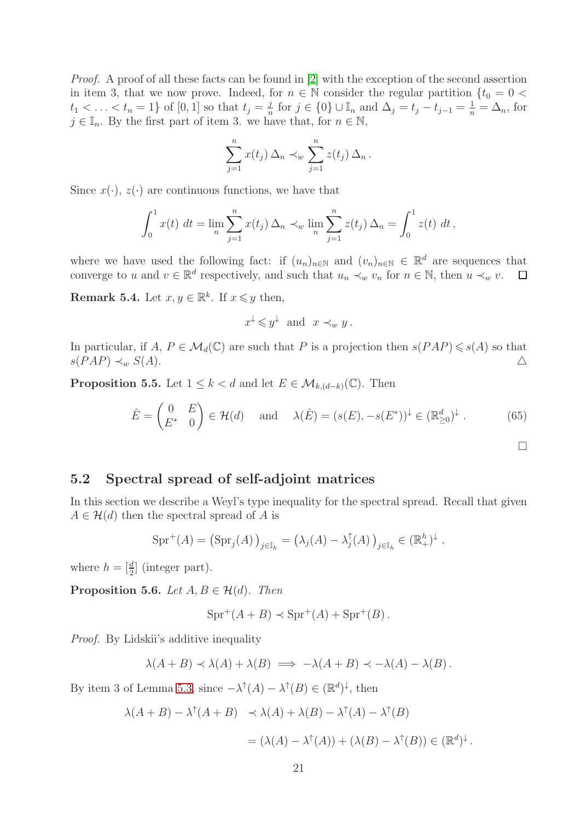*Proof.* A proof of all these facts can be found in [\[2\]](#page-21-16) with the exception of the second assertion in item 3, that we now prove. Indeed, for  $n \in \mathbb{N}$  consider the regular partition  $\{t_0 = 0$  $t_1 < \ldots < t_n = 1$  of [0, 1] so that  $t_j = \frac{j}{n}$  $\frac{j}{n}$  for  $j \in \{0\} \cup \mathbb{I}_n$  and  $\Delta_j = t_j - t_{j-1} = \frac{1}{n} = \Delta_n$ , for  $j \in \mathbb{I}_n$ . By the first part of item 3. we have that, for  $n \in \mathbb{N}$ ,

$$
\sum_{j=1}^n x(t_j) \Delta_n \prec_w \sum_{j=1}^n z(t_j) \Delta_n.
$$

Since  $x(\cdot)$ ,  $z(\cdot)$  are continuous functions, we have that

$$
\int_0^1 x(t) \, dt = \lim_n \sum_{j=1}^n x(t_j) \, \Delta_n \prec_w \lim_n \sum_{j=1}^n z(t_j) \, \Delta_n = \int_0^1 z(t) \, dt \, ,
$$

where we have used the following fact: if  $(u_n)_{n\in\mathbb{N}}$  and  $(v_n)_{n\in\mathbb{N}}\in\mathbb{R}^d$  are sequences that converge to u and  $v \in \mathbb{R}^d$  respectively, and such that  $u_n \prec_w v_n$  for  $n \in \mathbb{N}$ , then  $u \prec_w v$ .  $\Box$ 

<span id="page-20-1"></span>**Remark 5.4.** Let  $x, y \in \mathbb{R}^k$ . If  $x \leq y$  then,

$$
x^{\downarrow} \leq y^{\downarrow}
$$
 and  $x \prec_w y$ .

In particular, if  $A, P \in \mathcal{M}_d(\mathbb{C})$  are such that P is a projection then  $s(PAP) \leq s(A)$  so that  $s(PAP) \prec_w S(A)$ .

**Proposition 5.5.** Let  $1 \leq k < d$  and let  $E \in \mathcal{M}_{k,(d-k)}(\mathbb{C})$ . Then

$$
\hat{E} = \begin{pmatrix} 0 & E \\ E^* & 0 \end{pmatrix} \in \mathcal{H}(d) \quad \text{and} \quad \lambda(\hat{E}) = (s(E), -s(E^*))^\downarrow \in (\mathbb{R}_{\geq 0}^d)^\downarrow \,. \tag{65}
$$

 $\Box$ 

#### <span id="page-20-0"></span>5.2 Spectral spread of self-adjoint matrices

In this section we describe a Weyl's type inequality for the spectral spread. Recall that given  $A \in \mathcal{H}(d)$  then the spectral spread of A is

$$
\text{Spr}^+(A) = \left(\text{Spr}_j(A)\right)_{j \in \mathbb{I}_h} = \left(\lambda_j(A) - \lambda_j^{\uparrow}(A)\right)_{j \in \mathbb{I}_h} \in (\mathbb{R}^h_+)^{\downarrow}.
$$

where  $h = \begin{bmatrix} \frac{d}{2} \end{bmatrix}$  (integer part).

<span id="page-20-2"></span>**Proposition 5.6.** *Let*  $A, B \in \mathcal{H}(d)$ *. Then* 

$$
Spr^+(A+B) \prec Spr^+(A) + Spr^+(B) .
$$

*Proof.* By Lidskii's additive inequality

$$
\lambda(A + B) \prec \lambda(A) + \lambda(B) \implies -\lambda(A + B) \prec -\lambda(A) - \lambda(B).
$$

By item 3 of Lemma [5.3,](#page-19-4) since  $-\lambda^{\dagger}(A) - \lambda^{\dagger}(B) \in (\mathbb{R}^d)^{\downarrow}$ , then

$$
\lambda(A + B) - \lambda^{\uparrow}(A + B) \preceq \lambda(A) + \lambda(B) - \lambda^{\uparrow}(A) - \lambda^{\uparrow}(B)
$$
  
= 
$$
(\lambda(A) - \lambda^{\uparrow}(A)) + (\lambda(B) - \lambda^{\uparrow}(B)) \in (\mathbb{R}^{d})^{\downarrow}.
$$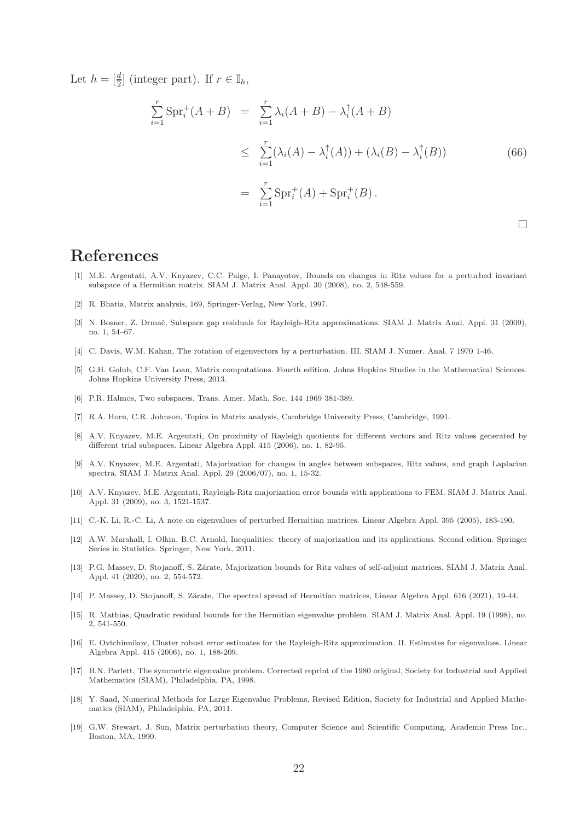Let  $h = \left[\frac{d}{2}\right]$  (integer part). If  $r \in \mathbb{I}_h$ ,

$$
\sum_{i=1}^{r} \text{Spr}_{i}^{+}(A+B) = \sum_{i=1}^{r} \lambda_{i}(A+B) - \lambda_{i}^{\uparrow}(A+B)
$$
\n
$$
\leq \sum_{i=1}^{r} (\lambda_{i}(A) - \lambda_{i}^{\uparrow}(A)) + (\lambda_{i}(B) - \lambda_{i}^{\uparrow}(B))
$$
\n
$$
= \sum_{i=1}^{r} \text{Spr}_{i}^{+}(A) + \text{Spr}_{i}^{+}(B).
$$
\n(66)

 $\Box$ 

# <span id="page-21-3"></span>References

- [1] M.E. Argentati, A.V. Knyazev, C.C. Paige, I. Panayotov, Bounds on changes in Ritz values for a perturbed invariant subspace of a Hermitian matrix. SIAM J. Matrix Anal. Appl. 30 (2008), no. 2, 548-559.
- <span id="page-21-16"></span><span id="page-21-4"></span>[2] R. Bhatia, Matrix analysis, 169, Springer-Verlag, New York, 1997.
- [3] N. Bosner, Z. Drmač, Subspace gap residuals for Rayleigh-Ritz approximations. SIAM J. Matrix Anal. Appl. 31 (2009), no. 1, 54–67.
- <span id="page-21-14"></span><span id="page-21-13"></span>[4] C. Davis, W.M. Kahan, The rotation of eigenvectors by a perturbation. III. SIAM J. Numer. Anal. 7 1970 1-46.
- [5] G.H. Golub, C.F. Van Loan, Matrix computations. Fourth edition. Johns Hopkins Studies in the Mathematical Sciences. Johns Hopkins University Press, 2013.
- <span id="page-21-17"></span><span id="page-21-15"></span>[6] P.R. Halmos, Two subspaces. Trans. Amer. Math. Soc. 144 1969 381-389.
- <span id="page-21-5"></span>[7] R.A. Horn, C.R. Johnson, Topics in Matrix analysis, Cambridge University Press, Cambridge, 1991.
- [8] A.V. Knyazev, M.E. Argentati, On proximity of Rayleigh quotients for different vectors and Ritz values generated by different trial subspaces. Linear Algebra Appl. 415 (2006), no. 1, 82-95.
- <span id="page-21-6"></span>[9] A.V. Knyazev, M.E. Argentati, Majorization for changes in angles between subspaces, Ritz values, and graph Laplacian spectra. SIAM J. Matrix Anal. Appl. 29 (2006/07), no. 1, 15-32.
- <span id="page-21-7"></span>[10] A.V. Knyazev, M.E. Argentati, Rayleigh-Ritz majorization error bounds with applications to FEM. SIAM J. Matrix Anal. Appl. 31 (2009), no. 3, 1521-1537.
- <span id="page-21-18"></span><span id="page-21-8"></span>[11] C.-K. Li, R.-C. Li, A note on eigenvalues of perturbed Hermitian matrices. Linear Algebra Appl. 395 (2005), 183-190.
- [12] A.W. Marshall, I. Olkin, B.C. Arnold, Inequalities: theory of majorization and its applications. Second edition. Springer Series in Statistics. Springer, New York, 2011.
- <span id="page-21-11"></span>[13] P.G. Massey, D. Stojanoff, S. Zárate, Majorization bounds for Ritz values of self-adjoint matrices. SIAM J. Matrix Anal. Appl. 41 (2020), no. 2, 554-572.
- <span id="page-21-12"></span><span id="page-21-9"></span>[14] P. Massey, D. Stojanoff, S. Zárate, The spectral spread of Hermitian matrices, Linear Algebra Appl. 616 (2021), 19-44.
- [15] R. Mathias, Quadratic residual bounds for the Hermitian eigenvalue problem. SIAM J. Matrix Anal. Appl. 19 (1998), no. 2, 541-550.
- <span id="page-21-10"></span>[16] E. Ovtchinnikov, Cluster robust error estimates for the Rayleigh-Ritz approximation. II. Estimates for eigenvalues. Linear Algebra Appl. 415 (2006), no. 1, 188-209.
- <span id="page-21-0"></span>[17] B.N. Parlett, The symmetric eigenvalue problem. Corrected reprint of the 1980 original, Society for Industrial and Applied Mathematics (SIAM), Philadelphia, PA, 1998.
- <span id="page-21-1"></span>[18] Y. Saad, Numerical Methods for Large Eigenvalue Problems, Revised Edition, Society for Industrial and Applied Mathematics (SIAM), Philadelphia, PA, 2011.
- <span id="page-21-2"></span>[19] G.W. Stewart, J. Sun, Matrix perturbation theory, Computer Science and Scientific Computing, Academic Press Inc., Boston, MA, 1990.